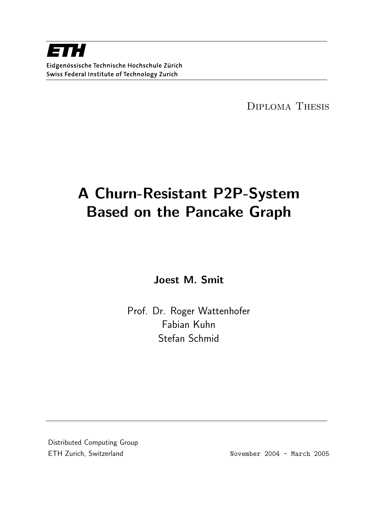Diploma Thesis

# A Churn-Resistant P2P-System Based on the Pancake Graph

Joest M. Smit

Prof. Dr. Roger Wattenhofer Fabian Kuhn Stefan Schmid

Distributed Computing Group ETH Zurich, Switzerland and November 2004 - March 2005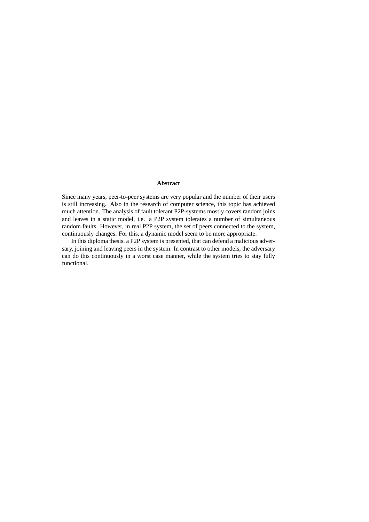#### **Abstract**

Since many years, peer-to-peer systems are very popular and the number of their users is still increasing. Also in the research of computer science, this topic has achieved much attention. The analysis of fault tolerant P2P-systems mostly covers random joins and leaves in a static model, i.e. a P2P system tolerates a number of simultaneous random faults. However, in real P2P system, the set of peers connected to the system, continuously changes. For this, a dynamic model seem to be more appropriate.

In this diploma thesis, a P2P system is presented, that can defend a malicious adversary, joining and leaving peers in the system. In contrast to other models, the adversary can do this continuously in a worst case manner, while the system tries to stay fully functional.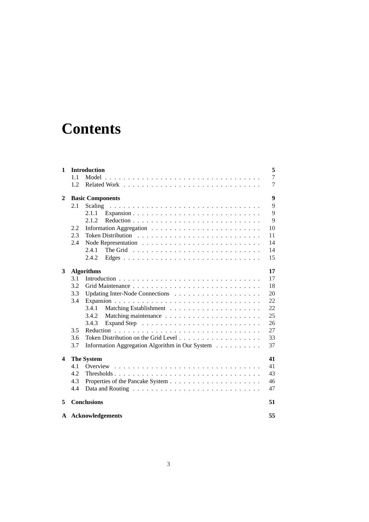## **Contents**

| 1.1<br>1.2<br>$\mathbf{2}$<br><b>Basic Components</b><br>2.1<br>2.1.1<br>Expansion<br>2.1.2<br>2.2<br>2.3<br>2.4<br>2.4.1<br>2.4.2<br>3<br><b>Algorithms</b><br>3.1<br>3.2<br>3.3<br>3.4<br>3.4.1<br>3.4.2<br>3.4.3<br>3.5<br><b>Reduction</b><br>3.6<br>3.7<br><b>The System</b><br>4<br>4.1<br>Overview<br>4.2<br>4.3<br>4.4<br><b>Conclusions</b><br>5 | 1 | Introduction                                    | 5  |
|-----------------------------------------------------------------------------------------------------------------------------------------------------------------------------------------------------------------------------------------------------------------------------------------------------------------------------------------------------------|---|-------------------------------------------------|----|
|                                                                                                                                                                                                                                                                                                                                                           |   |                                                 | 7  |
|                                                                                                                                                                                                                                                                                                                                                           |   |                                                 | 7  |
|                                                                                                                                                                                                                                                                                                                                                           |   |                                                 | 9  |
|                                                                                                                                                                                                                                                                                                                                                           |   |                                                 | 9  |
|                                                                                                                                                                                                                                                                                                                                                           |   |                                                 | 9  |
|                                                                                                                                                                                                                                                                                                                                                           |   |                                                 | 9  |
|                                                                                                                                                                                                                                                                                                                                                           |   |                                                 | 10 |
|                                                                                                                                                                                                                                                                                                                                                           |   |                                                 | 11 |
|                                                                                                                                                                                                                                                                                                                                                           |   |                                                 | 14 |
|                                                                                                                                                                                                                                                                                                                                                           |   |                                                 | 14 |
|                                                                                                                                                                                                                                                                                                                                                           |   |                                                 | 15 |
|                                                                                                                                                                                                                                                                                                                                                           |   |                                                 | 17 |
|                                                                                                                                                                                                                                                                                                                                                           |   |                                                 | 17 |
|                                                                                                                                                                                                                                                                                                                                                           |   |                                                 | 18 |
|                                                                                                                                                                                                                                                                                                                                                           |   |                                                 | 20 |
|                                                                                                                                                                                                                                                                                                                                                           |   |                                                 | 22 |
|                                                                                                                                                                                                                                                                                                                                                           |   |                                                 | 22 |
|                                                                                                                                                                                                                                                                                                                                                           |   |                                                 | 25 |
|                                                                                                                                                                                                                                                                                                                                                           |   |                                                 | 26 |
|                                                                                                                                                                                                                                                                                                                                                           |   |                                                 | 27 |
|                                                                                                                                                                                                                                                                                                                                                           |   |                                                 | 33 |
|                                                                                                                                                                                                                                                                                                                                                           |   | Information Aggregation Algorithm in Our System | 37 |
|                                                                                                                                                                                                                                                                                                                                                           |   |                                                 | 41 |
|                                                                                                                                                                                                                                                                                                                                                           |   |                                                 | 41 |
|                                                                                                                                                                                                                                                                                                                                                           |   |                                                 | 43 |
|                                                                                                                                                                                                                                                                                                                                                           |   |                                                 | 46 |
|                                                                                                                                                                                                                                                                                                                                                           |   |                                                 | 47 |
|                                                                                                                                                                                                                                                                                                                                                           |   |                                                 | 51 |
| Acknowledgements<br>A                                                                                                                                                                                                                                                                                                                                     |   |                                                 | 55 |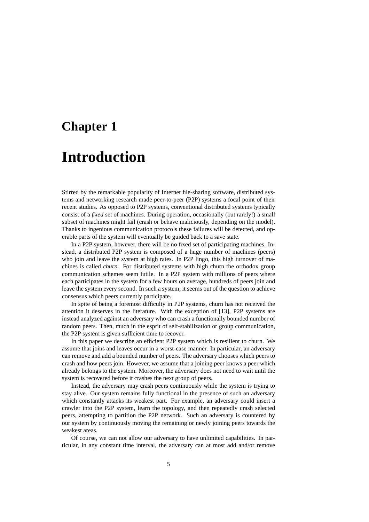# **Chapter 1 Introduction**

Stirred by the remarkable popularity of Internet file-sharing software, distributed systems and networking research made peer-to-peer (P2P) systems a focal point of their recent studies. As opposed to P2P systems, conventional distributed systems typically consist of a *fixed* set of machines. During operation, occasionally (but rarely!) a small subset of machines might fail (crash or behave maliciously, depending on the model). Thanks to ingenious communication protocols these failures will be detected, and operable parts of the system will eventually be guided back to a save state.

In a P2P system, however, there will be no fixed set of participating machines. Instead, a distributed P2P system is composed of a huge number of machines (peers) who join and leave the system at high rates. In P2P lingo, this high turnover of machines is called *churn*. For distributed systems with high churn the orthodox group communication schemes seem futile. In a P2P system with millions of peers where each participates in the system for a few hours on average, hundreds of peers join and leave the system every second. In such a system, it seems out of the question to achieve consensus which peers currently participate.

In spite of being a foremost difficulty in P2P systems, churn has not received the attention it deserves in the literature. With the exception of [13], P2P systems are instead analyzed against an adversary who can crash a functionally bounded number of random peers. Then, much in the esprit of self-stabilization or group communication, the P2P system is given sufficient time to recover.

In this paper we describe an efficient P2P system which is resilient to churn. We assume that joins and leaves occur in a worst-case manner. In particular, an adversary can remove and add a bounded number of peers. The adversary chooses which peers to crash and how peers join. However, we assume that a joining peer knows a peer which already belongs to the system. Moreover, the adversary does not need to wait until the system is recovered before it crashes the next group of peers.

Instead, the adversary may crash peers continuously while the system is trying to stay alive. Our system remains fully functional in the presence of such an adversary which constantly attacks its weakest part. For example, an adversary could insert a crawler into the P2P system, learn the topology, and then repeatedly crash selected peers, attempting to partition the P2P network. Such an adversary is countered by our system by continuously moving the remaining or newly joining peers towards the weakest areas.

Of course, we can not allow our adversary to have unlimited capabilities. In particular, in any constant time interval, the adversary can at most add and/or remove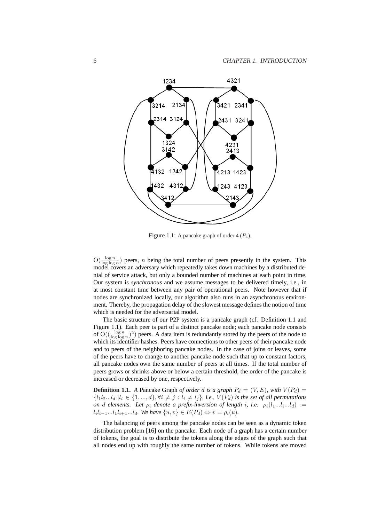

Figure 1.1: A pancake graph of order  $4 (P_4)$ .

 $O(\frac{\log n}{\log \log n})$  peers, *n* being the total number of peers presently in the system. This model covers an adversary which repeatedly takes down machines by a distributed denial of service attack, but only a bounded number of machines at each point in time. Our system is *synchronous* and we assume messages to be delivered timely, i.e., in at most constant time between any pair of operational peers. Note however that if nodes are synchronized locally, our algorithm also runs in an asynchronous environment. Thereby, the propagation delay of the slowest message defines the notion of time which is needed for the adversarial model.

The basic structure of our P2P system is a pancake graph (cf. Definition 1.1 and Figure 1.1). Each peer is part of a distinct pancake node; each pancake node consists of  $O((\frac{\log n}{\log \log n})^2)$  peers. A data item is redundantly stored by the peers of the node to which its identifier hashes. Peers have connections to other peers of their pancake node and to peers of the neighboring pancake nodes. In the case of joins or leaves, some of the peers have to change to another pancake node such that up to constant factors, all pancake nodes own the same number of peers at all times. If the total number of peers grows or shrinks above or below a certain threshold, the order of the pancake is increased or decreased by one, respectively.

**Definition 1.1.** *A* Pancake Graph *of order* d *is a graph*  $P_d = (V, E)$ *, with*  $V(P_d)$  ${l_1l_2...l_d \mid l_i \in \{1,...,d\}, \forall i \neq j : l_i \neq l_j\}, i.e., V(P_d)$  *is the set of all permutations on d elements.* Let  $\rho_i$  *denote a prefix-inversion of length i, i.e.*  $\rho_i(l_1...l_i...l_d)$  :=  $l_i l_{i-1} ... l_1 l_{i+1} ... l_d$ *. We have*  $\{u, v\} \in E(P_d) \Leftrightarrow v = \rho_i(u)$ *.* 

The balancing of peers among the pancake nodes can be seen as a dynamic token distribution problem [16] on the pancake. Each node of a graph has a certain number of tokens, the goal is to distribute the tokens along the edges of the graph such that all nodes end up with roughly the same number of tokens. While tokens are moved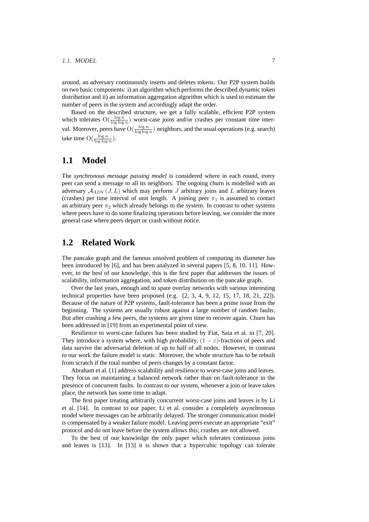around, an adversary continuously inserts and deletes tokens. Our P2P system builds on two basic components: i) an algorithm which performs the described dynamic token distribution and ii) an information aggregation algorithm which is used to estimate the number of peers in the system and accordingly adapt the order.

Based on the described structure, we get a fully scalable, efficient P2P system which tolerates  $O(\frac{\log n}{\log \log n})$  worst-case joins and/or crashes per constant time interval. Moreover, peers have  $O(\frac{\log n}{\log \log n})$  neighbors, and the usual operations (e.g. search) take time  $\mathcal{O}(\frac{\log n}{\log \log n})$ .

## **1.1 Model**

The *synchronous message passing model* is considered where in each round, every peer can send a message to all its neighbors. The ongoing churn is modelled with an adversary  $\mathcal{A}_{ADV}(J, L)$  which may perform J arbitrary joins and L arbitrary leaves (crashes) per time interval of unit length. A joining peer  $\pi_1$  is assumed to contact an arbitrary peer  $\pi_2$  which already belongs to the system. In contrast to other systems where peers have to do some finalizing operations before leaving, we consider the more general case where peers depart or crash without notice.

## **1.2 Related Work**

The pancake graph and the famous unsolved problem of computing its diameter has been introduced by [6], and has been analyzed in several papers [5, 8, 10, 11]. However, to the best of our knowledge, this is the first paper that addresses the issues of scalability, information aggregation, and token distribution on the pancake graph.

Over the last years, enough and to spare overlay networks with various interesting technical properties have been proposed (e.g. [2, 3, 4, 9, 12, 15, 17, 18, 21, 22]). Because of the nature of P2P systems, fault-tolerance has been a prime issue from the beginning. The systems are usually robust against a large number of random faults. But after crashing a few peers, the systems are given time to recover again. Churn has been addressed in [19] from an experimental point of view.

Resilience to worst-case failures has been studied by Fiat, Saia et al. in [7, 20]. They introduce a system where, with high probability,  $(1 - \varepsilon)$ -fractions of peers and data survive the adversarial deletion of up to half of all nodes. However, in contrast to our work the failure model is static. Moreover, the whole structure has to be rebuilt from scratch if the total number of peers changes by a constant factor.

Abraham et al. [1] address scalability and resilience to worst-case joins and leaves. They focus on maintaining a balanced network rather than on fault-tolerance in the presence of concurrent faults. In contrast to our system, whenever a join or leave takes place, the network has some time to adapt.

The first paper treating arbitrarily concurrent worst-case joins and leaves is by Li et al. [14]. In contrast to our paper, Li et al. consider a completely asynchronous model where messages can be arbitrarily delayed. The stronger communication model is compensated by a weaker failure model. Leaving peers execute an appropriate "exit" protocol and do not leave before the system allows this; crashes are not allowed.

To the best of our knowledge the only paper which tolerates continuous joins and leaves is [13]. In [13] it is shown that a hypercubic topology can tolerate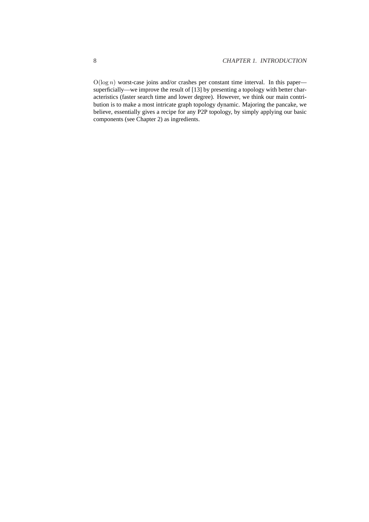$O(\log n)$  worst-case joins and/or crashes per constant time interval. In this paper superficially—we improve the result of [13] by presenting a topology with better characteristics (faster search time and lower degree). However, we think our main contribution is to make a most intricate graph topology dynamic. Majoring the pancake, we believe, essentially gives a recipe for any P2P topology, by simply applying our basic components (see Chapter 2) as ingredients.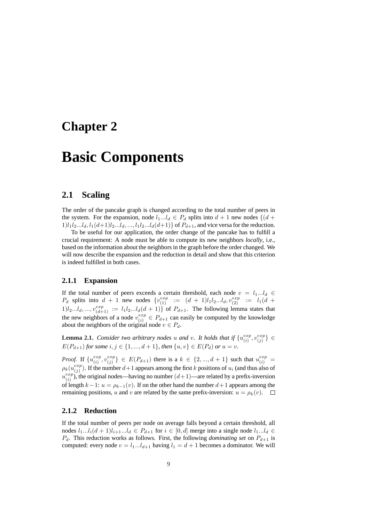## **Chapter 2**

## **Basic Components**

## **2.1 Scaling**

The order of the pancake graph is changed according to the total number of peers in the system. For the expansion, node  $l_1...l_d \in P_d$  splits into  $d+1$  new nodes  $\{(d+1)\}$  $1)$ l<sub>1</sub>l<sub>2</sub>...l<sub>d</sub>, l<sub>1</sub>(d+1)l<sub>2</sub>...l<sub>d</sub>, ..., l<sub>1</sub>l<sub>2</sub>...l<sub>d</sub>(d+1)} of P<sub>d+1</sub>, and vice versa for the reduction.

To be useful for our application, the order change of the pancake has to fulfill a crucial requirement: A node must be able to compute its new neighbors *locally*, i.e., based on the information about the neighbors in the graph before the order changed. We will now describe the expansion and the reduction in detail and show that this criterion is indeed fulfilled in both cases.

#### **2.1.1 Expansion**

If the total number of peers exceeds a certain threshold, each node  $v = l_1...l_d \in$  $P_d$  splits into  $d + 1$  new nodes  $\{v_{(1)}^{exp} := (d + 1)l_1l_2...l_d, v_{(2)}^{exp} := l_1(d + 1)l_2\}$  $1)l_2...l_d,...,v_{(d+1)}^{exp} := l_1l_2...l_d(d+1)$  of  $P_{d+1}$ . The following lemma states that the new neighbors of a node  $v_{(i)}^{exp}$  $\frac{exp}{(i)} \in P_{d+1}$  can easily be computed by the knowledge about the neighbors of the original node  $v \in P_d$ .

**Lemma 2.1.** *Consider two arbitrary nodes* u and v. It holds that if  $\{u_{(i)}^{exp}$  $\begin{array}{c} exp_{i}(i) \end{array}$  $\{e^{xp}\}\in$  $E(P_{d+1})$  *for some*  $i, j \in \{1, ..., d+1\}$ *, then*  $\{u, v\} \in E(P_d)$  *or*  $u = v$ *.* 

*Proof.* If  $\{u_{(i)}^{exp}\}$  $\begin{array}{c} exp\left(i\right), v_{(j)}^{exp} \end{array}$  ${^{exp}}(j) \in E(P_{d+1})$  there is a  $k \in \{2, ..., d+1\}$  such that  $u_{(i)}^{exp} =$  $\rho_k(u_{(i)}^{exp}$  $\binom{exp}{j}$ . If the number  $d+1$  appears among the first k positions of  $u_i$  (and thus also of  $u_{\alpha}^{exp}$  $\binom{exp}{i}$ , the original nodes—having no number  $(d+1)$ —are related by a prefix-inversion of length  $k-1$ :  $u = \rho_{k-1}(v)$ . If on the other hand the number  $d+1$  appears among the remaining positions, u and v are related by the same prefix-inversion:  $u = \rho_k(v)$ .  $\square$ 

#### **2.1.2 Reduction**

If the total number of peers per node on average falls beyond a certain threshold, all nodes  $l_1...l_i(d+1)l_{i+1}...l_d \in P_{d+1}$  for  $i \in [0,d]$  merge into a single node  $l_1...l_d \in$  $P_d$ . This reduction works as follows. First, the following *dominating set* on  $P_{d+1}$  is computed: every node  $v = l_1...l_{d+1}$  having  $l_1 = d+1$  becomes a dominator. We will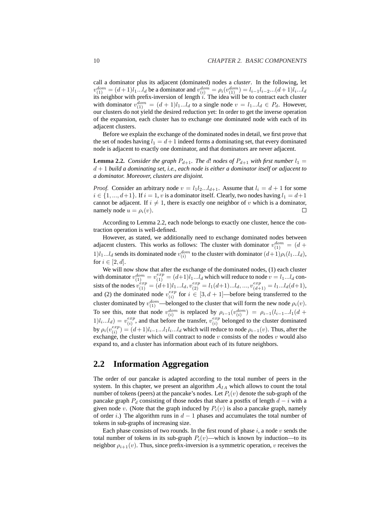call a dominator plus its adjacent (dominated) nodes a *cluster*. In the following, let  $v_{(1)}^{dom} = (d+1)l_1...l_d$  be a dominator and  $v_{(i)}^{dom} = \rho_i(v_{(1)}^{dom}) = l_{i-1}l_{i-2}...(d+1)l_i...l_d$ its neighbor with prefix-inversion of length  $i$ . The idea will be to contract each cluster with dominator  $v_{(1)}^{dom} = (d+1)l_1...l_d$  to a single node  $v = l_1...l_d \in P_d$ . However, our clusters do not yield the desired reduction yet: In order to get the inverse operation of the expansion, each cluster has to exchange one dominated node with each of its adjacent clusters.

Before we explain the exchange of the dominated nodes in detail, we first prove that the set of nodes having  $l_1 = d+1$  indeed forms a dominating set, that every dominated node is adjacent to exactly one dominator, and that dominators are never adjacent.

**Lemma 2.2.** *Consider the graph*  $P_{d+1}$ *. The d! nodes of*  $P_{d+1}$  *with first number*  $l_1$ d + 1 *build a dominating set, i.e., each node is either a dominator itself or adjacent to a dominator. Moreover, clusters are disjoint.*

*Proof.* Consider an arbitrary node  $v = l_1 l_2 ... l_{d+1}$ . Assume that  $l_i = d + 1$  for some  $i \in \{1, ..., d+1\}$ . If  $i = 1, v$  is a dominator itself. Clearly, two nodes having  $l_1 = d+1$ cannot be adjacent. If  $i \neq 1$ , there is exactly one neighbor of v which is a dominator, namely node  $u = \rho_i(v)$ .  $\Box$ 

According to Lemma 2.2, each node belongs to exactly one cluster, hence the contraction operation is well-defined.

However, as stated, we additionally need to exchange dominated nodes between adjacent clusters. This works as follows: The cluster with dominator  $v_{(1)}^{dom} = (d +$  $1)$ l<sub>1</sub>...l<sub>d</sub> sends its dominated node  $v_{(i)}^{dom}$  to the cluster with dominator  $(d+1)\rho_i(l_1...l_d)$ , for  $i \in [2, d]$ .

We will now show that after the exchange of the dominated nodes, (1) each cluster with dominator  $v_{(1)}^{dom} = v_{(1)}^{exp} = (d+1)l_1...l_d$  which will reduce to node  $v = l_1...l_d$  consists of the nodes  $v_{(1)}^{exp} = (d+1)l_1...l_d, v_{(2)}^{exp} = l_1(d+1)...l_d, ..., v_{(d+1)}^{exp} = l_1...l_d(d+1),$ and (2) the dominated node  $v_{(i)}^{exp}$  $\begin{array}{c} \n\textit{exp} \\ \n\textit{(i)} \n\end{array}$  for  $i \in [3, d + 1]$ —before being transferred to the cluster dominated by  $v_{(1)}^{dom}$ —belonged to the cluster that will form the new node  $\rho_i(v)$ . To see this, note that node  $v_{(i)}^{dom}$  is replaced by  $\rho_{i-1}(v_{(i)}^{dom}) = \rho_{i-1}(l_{i-1}...l_1(d +$  $1)l_i...l_d$ ) =  $v_{(i)}^{exp}$  $\epsilon_{(i)}^{exp}$ , and that before the transfer,  $v_{(i)}^{exp}$  $\binom{exp}{i}$  belonged to the cluster dominated by  $\rho_i(v_{(i)}^{exp}$  $\binom{exp}{(i)} = (d+1)l_{i-1}...l_1l_i...l_d$  which will reduce to node  $\rho_{i-1}(v)$ . Thus, after the exchange, the cluster which will contract to node  $v$  consists of the nodes  $v$  would also expand to, and a cluster has information about each of its future neighbors.

### **2.2 Information Aggregation**

The order of our pancake is adapted according to the total number of peers in the system. In this chapter, we present an algorithm  $A_{IA}$  which allows to count the total number of tokens (peers) at the pancake's nodes. Let  $P_i(v)$  denote the sub-graph of the pancake graph  $P_d$  consisting of those nodes that share a postfix of length  $d - i$  with a given node v. (Note that the graph induced by  $P_i(v)$  is also a pancake graph, namely of order i.) The algorithm runs in  $d-1$  phases and accumulates the total number of tokens in sub-graphs of increasing size.

Each phase consists of two rounds. In the first round of phase  $i$ , a node  $v$  sends the total number of tokens in its sub-graph  $P_i(v)$ —which is known by induction—to its neighbor  $\rho_{i+1}(v)$ . Thus, since prefix-inversion is a symmetric operation, v receives the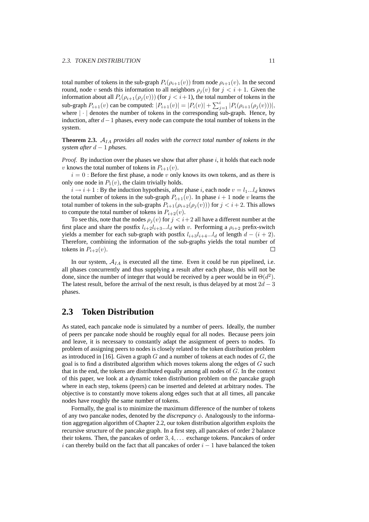total number of tokens in the sub-graph  $P_i(\rho_{i+1}(v))$  from node  $\rho_{i+1}(v)$ . In the second round, node v sends this information to all neighbors  $\rho_i(v)$  for  $j < i + 1$ . Given the information about all  $P_i(\rho_{i+1}(\rho_j(v)))$  (for  $j < i+1$ ), the total number of tokens in the sub-graph  $P_{i+1}(v)$  can be computed:  $|P_{i+1}(v)| = |P_i(v)| + \sum_{j=1}^{i} |P_i(\rho_{i+1}(\rho_j(v)))|$ , where  $|\cdot|$  denotes the number of tokens in the corresponding sub-graph. Hence, by induction, after  $d-1$  phases, every node can compute the total number of tokens in the system.

**Theorem 2.3.**  $A_{IA}$  *provides all nodes with the correct total number of tokens in the system after* d − 1 *phases.*

*Proof.* By induction over the phases we show that after phase i, it holds that each node v knows the total number of tokens in  $P_{i+1}(v)$ .

 $i = 0$ : Before the first phase, a node v only knows its own tokens, and as there is only one node in  $P_1(v)$ , the claim trivially holds.

 $i \rightarrow i+1$ : By the induction hypothesis, after phase i, each node  $v = l_1...l_d$  knows the total number of tokens in the sub-graph  $P_{i+1}(v)$ . In phase  $i + 1$  node v learns the total number of tokens in the sub-graphs  $P_{i+1}(\rho_{i+2}(\rho_i(v)))$  for  $j < i+2$ . This allows to compute the total number of tokens in  $P_{i+2}(v)$ .

To see this, note that the nodes  $\rho_i(v)$  for  $j < i+2$  all have a different number at the first place and share the postfix  $l_{i+2}l_{i+3}...l_d$  with v. Performing a  $\rho_{i+2}$  prefix-switch yields a member for each sub-graph with postfix  $l_{i+3}l_{i+4}...l_d$  of length  $d - (i + 2)$ . Therefore, combining the information of the sub-graphs yields the total number of  $\Box$ tokens in  $P_{i+2}(v)$ .

In our system,  $A_{IA}$  is executed all the time. Even it could be run pipelined, i.e. all phases concurrently and thus supplying a result after each phase, this will not be done, since the number of integer that would be received by a peer would be in  $\Theta(d^2)$ . The latest result, before the arrival of the next result, is thus delayed by at most  $2d - 3$ phases.

### **2.3 Token Distribution**

As stated, each pancake node is simulated by a number of peers. Ideally, the number of peers per pancake node should be roughly equal for all nodes. Because peers join and leave, it is necessary to constantly adapt the assignment of peers to nodes. To problem of assigning peers to nodes is closely related to the token distribution problem as introduced in [16]. Given a graph  $G$  and a number of tokens at each nodes of  $G$ , the goal is to find a distributed algorithm which moves tokens along the edges of  $G$  such that in the end, the tokens are distributed equally among all nodes of G. In the context of this paper, we look at a dynamic token distribution problem on the pancake graph where in each step, tokens (peers) can be inserted and deleted at arbitrary nodes. The objective is to constantly move tokens along edges such that at all times, all pancake nodes have roughly the same number of tokens.

Formally, the goal is to minimize the maximum difference of the number of tokens of any two pancake nodes, denoted by the *discrepancy*  $\phi$ . Analogously to the information aggregation algorithm of Chapter 2.2, our token distribution algorithm exploits the recursive structure of the pancake graph. In a first step, all pancakes of order 2 balance their tokens. Then, the pancakes of order 3, 4, . . . exchange tokens. Pancakes of order i can thereby build on the fact that all pancakes of order  $i - 1$  have balanced the token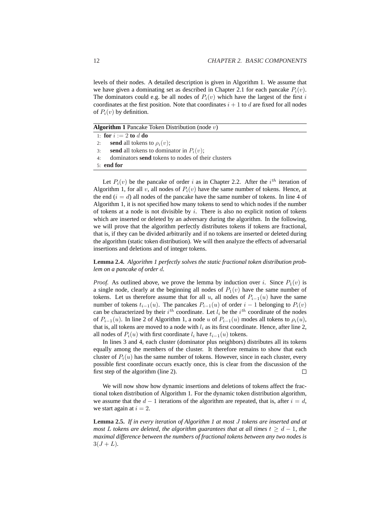levels of their nodes. A detailed description is given in Algorithm 1. We assume that we have given a dominating set as described in Chapter 2.1 for each pancake  $P_i(v)$ . The dominators could e.g. be all nodes of  $P_i(v)$  which have the largest of the first i coordinates at the first position. Note that coordinates  $i + 1$  to d are fixed for all nodes of  $P_i(v)$  by definition.

**Algorithm 1** Pancake Token Distribution (node v)

|    | 1: for $i := 2$ to d do                                  |
|----|----------------------------------------------------------|
| 2: | send all tokens to $\rho_i(v)$ ;                         |
| 3: | send all tokens to dominator in $P_i(v)$ ;               |
| 4: | dominators <b>send</b> tokens to nodes of their clusters |
|    | $5:$ end for                                             |

Let  $P_i(v)$  be the pancake of order i as in Chapter 2.2. After the i<sup>th</sup> iteration of Algorithm 1, for all v, all nodes of  $P_i(v)$  have the same number of tokens. Hence, at the end  $(i = d)$  all nodes of the pancake have the same number of tokens. In line 4 of Algorithm 1, it is not specified how many tokens to send to which nodes if the number of tokens at a node is not divisible by  $i$ . There is also no explicit notion of tokens which are inserted or deleted by an adversary during the algorithm. In the following, we will prove that the algorithm perfectly distributes tokens if tokens are fractional, that is, if they can be divided arbitrarily and if no tokens are inserted or deleted during the algorithm (static token distribution). We will then analyze the effects of adversarial insertions and deletions and of integer tokens.

#### **Lemma 2.4.** *Algorithm 1 perfectly solves the static fractional token distribution problem on a pancake of order* d*.*

*Proof.* As outlined above, we prove the lemma by induction over i. Since  $P_1(v)$  is a single node, clearly at the beginning all nodes of  $P_1(v)$  have the same number of tokens. Let us therefore assume that for all u, all nodes of  $P_{i-1}(u)$  have the same number of tokens  $t_{i-1}(u)$ . The pancakes  $P_{i-1}(u)$  of order  $i-1$  belonging to  $P_i(v)$ can be characterized by their  $i^{th}$  coordinate. Let  $l_i$  be the  $i^{th}$  coordinate of the nodes of  $P_{i-1}(u)$ . In line 2 of Algorithm 1, a node u of  $P_{i-1}(u)$  modes all tokens to  $\rho_i(u)$ , that is, all tokens are moved to a node with  $l_i$  as its first coordinate. Hence, after line 2, all nodes of  $P_i(u)$  with first coordinate  $l_i$  have  $t_{i-1}(u)$  tokens.

In lines 3 and 4, each cluster (dominator plus neighbors) distributes all its tokens equally among the members of the cluster. It therefore remains to show that each cluster of  $P_i(u)$  has the same number of tokens. However, since in each cluster, every possible first coordinate occurs exactly once, this is clear from the discussion of the first step of the algorithm (line 2).  $\Box$ 

We will now show how dynamic insertions and deletions of tokens affect the fractional token distribution of Algorithm 1. For the dynamic token distribution algorithm, we assume that the  $d-1$  iterations of the algorithm are repeated, that is, after  $i = d$ , we start again at  $i = 2$ .

**Lemma 2.5.** *If in every iteration of Algorithm 1 at most* J *tokens are inserted and at most* L *tokens are deleted, the algorithm guarantees that at all times*  $t > d - 1$ *, the maximal difference between the numbers of fractional tokens between any two nodes is*  $3(J + L)$ .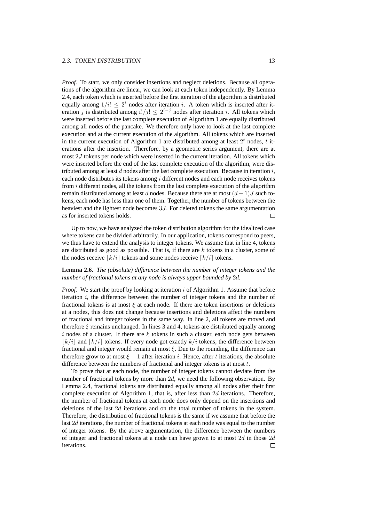*Proof.* To start, we only consider insertions and neglect deletions. Because all operations of the algorithm are linear, we can look at each token independently. By Lemma 2.4, each token which is inserted before the first iteration of the algorithm is distributed equally among  $1/i! \leq 2^i$  nodes after iteration i. A token which is inserted after iteration j is distributed among  $i!/j! \leq 2^{i-j}$  nodes after iteration i. All tokens which were inserted before the last complete execution of Algorithm 1 are equally distributed among all nodes of the pancake. We therefore only have to look at the last complete execution and at the current execution of the algorithm. All tokens which are inserted in the current execution of Algorithm 1 are distributed among at least  $2<sup>t</sup>$  nodes, t iterations after the insertion. Therefore, by a geometric series argument, there are at most 2J tokens per node which were inserted in the current iteration. All tokens which were inserted before the end of the last complete execution of the algorithm, were distributed among at least  $d$  nodes after the last complete execution. Because in iteration  $i$ , each node distributes its tokens among  $i$  different nodes and each node receives tokens from  $i$  different nodes, all the tokens from the last complete execution of the algorithm remain distributed among at least d nodes. Because there are at most  $(d-1)J$  such tokens, each node has less than one of them. Together, the number of tokens between the heaviest and the lightest node becomes 3J. For deleted tokens the same argumentation as for inserted tokens holds.

Up to now, we have analyzed the token distribution algorithm for the idealized case where tokens can be divided arbitrarily. In our application, tokens correspond to peers, we thus have to extend the analysis to integer tokens. We assume that in line 4, tokens are distributed as good as possible. That is, if there are  $k$  tokens in a cluster, some of the nodes receive  $|k/i|$  tokens and some nodes receive  $\lfloor k/i \rfloor$  tokens.

#### **Lemma 2.6.** *The (absolute) difference between the number of integer tokens and the number of fractional tokens at any node is always upper bounded by* 2d*.*

*Proof.* We start the proof by looking at iteration i of Algorithm 1. Assume that before iteration  $i$ , the difference between the number of integer tokens and the number of fractional tokens is at most  $\xi$  at each node. If there are token insertions or deletions at a nodes, this does not change because insertions and deletions affect the numbers of fractional and integer tokens in the same way. In line 2, all tokens are moved and therefore  $\xi$  remains unchanged. In lines 3 and 4, tokens are distributed equally among  $i$  nodes of a cluster. If there are  $k$  tokens in such a cluster, each node gets between  $|k/i|$  and  $[k/i]$  tokens. If every node got exactly  $k/i$  tokens, the difference between fractional and integer would remain at most  $\xi$ . Due to the rounding, the difference can therefore grow to at most  $\xi + 1$  after iteration *i*. Hence, after t iterations, the absolute difference between the numbers of fractional and integer tokens is at most t.

To prove that at each node, the number of integer tokens cannot deviate from the number of fractional tokens by more than  $2d$ , we need the following observation. By Lemma 2.4, fractional tokens are distributed equally among all nodes after their first complete execution of Algorithm 1, that is, after less than 2d iterations. Therefore, the number of fractional tokens at each node does only depend on the insertions and deletions of the last 2d iterations and on the total number of tokens in the system. Therefore, the distribution of fractional tokens is the same if we assume that before the last 2d iterations, the number of fractional tokens at each node was equal to the number of integer tokens. By the above argumentation, the difference between the numbers of integer and fractional tokens at a node can have grown to at most  $2d$  in those  $2d$ iterations. $\Box$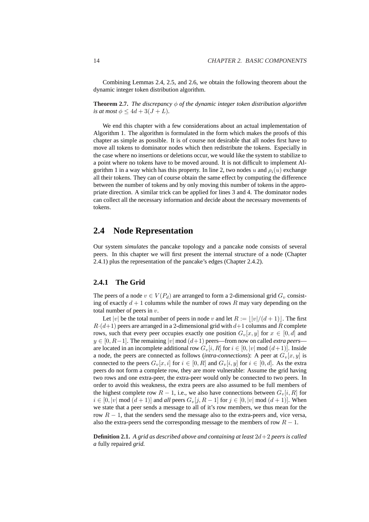Combining Lemmas 2.4, 2.5, and 2.6, we obtain the following theorem about the dynamic integer token distribution algorithm.

**Theorem 2.7.** *The discrepancy*  $\phi$  *of the dynamic integer token distribution algorithm is at most*  $\phi \leq 4d + 3(J + L)$ *.* 

We end this chapter with a few considerations about an actual implementation of Algorithm 1. The algorithm is formulated in the form which makes the proofs of this chapter as simple as possible. It is of course not desirable that all nodes first have to move all tokens to dominator nodes which then redistribute the tokens. Especially in the case where no insertions or deletions occur, we would like the system to stabilize to a point where no tokens have to be moved around. It is not difficult to implement Algorithm 1 in a way which has this property. In line 2, two nodes u and  $\rho_i(u)$  exchange all their tokens. They can of course obtain the same effect by computing the difference between the number of tokens and by only moving this number of tokens in the appropriate direction. A similar trick can be applied for lines 3 and 4. The dominator nodes can collect all the necessary information and decide about the necessary movements of tokens.

### **2.4 Node Representation**

Our system *simulates* the pancake topology and a pancake node consists of several peers. In this chapter we will first present the internal structure of a node (Chapter 2.4.1) plus the representation of the pancake's edges (Chapter 2.4.2).

#### **2.4.1 The Grid**

The peers of a node  $v \in V(P_d)$  are arranged to form a 2-dimensional grid  $G_v$  consisting of exactly  $d + 1$  columns while the number of rows R may vary depending on the total number of peers in  $v$ .

Let |v| be the total number of peers in node v and let  $R := ||v|/(d + 1)$ . The first  $R\cdot(d+1)$  peers are arranged in a 2-dimensional grid with  $d+1$  columns and R complete rows, such that every peer occupies exactly one position  $G_v[x, y]$  for  $x \in [0, d]$  and  $y \in [0, R-1]$ . The remaining |v| mod  $(d+1)$  peers—from now on called *extra peers* are located in an incomplete additional row  $G_v[i, R]$  for  $i \in [0, |v| \mod (d+1)]$ . Inside a node, the peers are connected as follows (*intra-connections*): A peer at  $G_v[x, y]$  is connected to the peers  $G_v[x, i]$  for  $i \in [0, R]$  and  $G_v[i, y]$  for  $i \in [0, d]$ . As the extra peers do not form a complete row, they are more vulnerable: Assume the grid having two rows and one extra-peer, the extra-peer would only be connected to two peers. In order to avoid this weakness, the extra peers are also assumed to be full members of the highest complete row  $R - 1$ , i.e., we also have connections between  $G_v[i, R]$  for  $i \in [0, |v| \mod (d+1)]$  and *all* peers  $G_v[j, R-1]$  for  $j \in [0, |v| \mod (d+1)]$ . When we state that a peer sends a message to all of it's row members, we thus mean for the row  $R - 1$ , that the senders send the message also to the extra-peers and, vice versa, also the extra-peers send the corresponding message to the members of row  $R - 1$ .

**Definition 2.1.** *A grid as described above and containing at least* 2d+2 *peers is called a* fully repaired *grid.*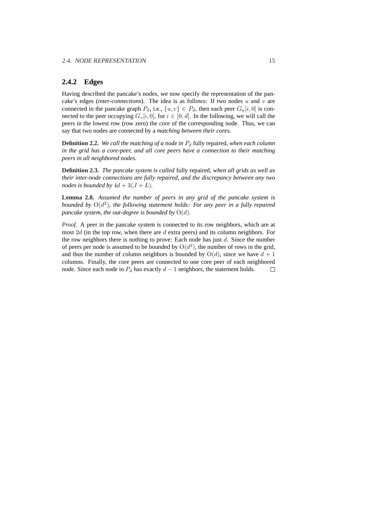#### **2.4.2 Edges**

Having described the pancake's nodes, we now specify the representation of the pancake's edges (*inter-connections*). The idea is as follows: If two nodes  $u$  and  $v$  are connected in the pancake graph  $P_d$ , i.e.,  $\{u, v\} \in P_d$ , then each peer  $G_u[i, 0]$  is connected to the peer occupying  $G_v[i, 0]$ , for  $i \in [0, d]$ . In the following, we will call the peers in the lowest row (row zero) the *core* of the corresponding node. Thus, we can say that two nodes are connected by a *matching between their cores*.

**Definition 2.2.** We call the matching of a node in  $P_d$  fully repaired, when each column *in the grid has a core-peer, and all core peers have a connection to their matching peers in all neighbored nodes.*

**Definition 2.3.** *The pancake system is called* fully repaired*, when all grids as well as their inter-node connections are fully repaired, and the discrepancy between any two nodes is bounded by*  $4d + 3(J + L)$ *.* 

**Lemma 2.8.** *Assumed the number of peers in any grid of the pancake system is bounded by* O(d 2 )*, the following statement holds: For any peer in a fully repaired pancake system, the out-degree is bounded by*  $O(d)$ *.* 

*Proof.* A peer in the pancake system is connected to its row neighbors, which are at most  $2d$  (in the top row, when there are  $d$  extra peers) and its column neighbors. For the row neighbors there is nothing to prove: Each node has just  $d$ . Since the number of peers per node is assumed to be bounded by  $O(d^2)$ , the number of rows in the grid, and thus the number of column neighbors is bounded by  $O(d)$ , since we have  $d + 1$ columns. Finally, the core peers are connected to one core peer of each neighbored node. Since each node in  $P_d$  has exactly  $d-1$  neighbors, the statement holds.  $\Box$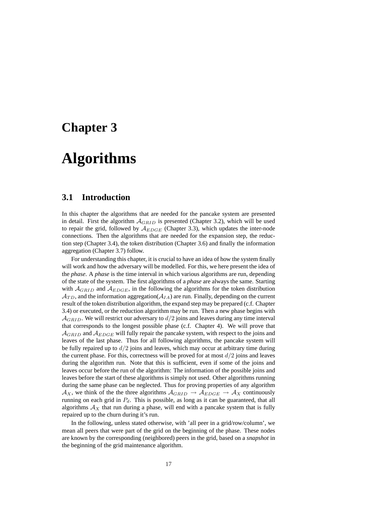## **Chapter 3**

## **Algorithms**

### **3.1 Introduction**

In this chapter the algorithms that are needed for the pancake system are presented in detail. First the algorithm  $A_{GRID}$  is presented (Chapter 3.2), which will be used to repair the grid, followed by  $A_{EDGE}$  (Chapter 3.3), which updates the inter-node connections. Then the algorithms that are needed for the expansion step, the reduction step (Chapter 3.4), the token distribution (Chapter 3.6) and finally the information aggregation (Chapter 3.7) follow.

For understanding this chapter, it is crucial to have an idea of how the system finally will work and how the adversary will be modelled. For this, we here present the idea of the *phase*. A *phase* is the time interval in which various algorithms are run, depending of the state of the system. The first algorithms of a *phase* are always the same. Starting with  $A_{GRID}$  and  $A_{EDGE}$ , in the following the algorithms for the token distribution  $\mathcal{A}_{TD}$ , and the information aggregation( $\mathcal{A}_{IA}$ ) are run. Finally, depending on the current result of the token distribution algorithm, the expand step may be prepared (c.f. Chapter 3.4) or executed, or the reduction algorithm may be run. Then a new phase begins with  $A_{GRID}$ . We will restrict our adversary to  $d/2$  joins and leaves during any time interval that corresponds to the longest possible phase (c.f. Chapter 4). We will prove that  $A_{GRID}$  and  $A_{EDGE}$  will fully repair the pancake system, with respect to the joins and leaves of the last phase. Thus for all following algorithms, the pancake system will be fully repaired up to  $d/2$  joins and leaves, which may occur at arbitrary time during the current phase. For this, correctness will be proved for at most  $d/2$  joins and leaves during the algorithm run. Note that this is sufficient, even if some of the joins and leaves occur before the run of the algorithm: The information of the possible joins and leaves before the start of these algorithms is simply not used. Other algorithms running during the same phase can be neglected. Thus for proving properties of any algorithm  $\mathcal{A}_X$ , we think of the the three algorithms  $\mathcal{A}_{GRID} \rightarrow \mathcal{A}_{EDGE} \rightarrow \mathcal{A}_X$  continuously running on each grid in  $P_d$ . This is possible, as long as it can be guaranteed, that all algorithms  $A_X$  that run during a phase, will end with a pancake system that is fully repaired up to the churn during it's run.

In the following, unless stated otherwise, with 'all peer in a grid/row/column', we mean all peers that were part of the grid on the beginning of the phase. These nodes are known by the corresponding (neighbored) peers in the grid, based on a *snapshot* in the beginning of the grid maintenance algorithm.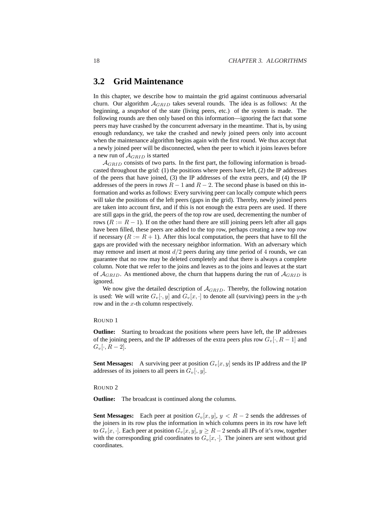## **3.2 Grid Maintenance**

In this chapter, we describe how to maintain the grid against continuous adversarial churn. Our algorithm  $A_{GRID}$  takes several rounds. The idea is as follows: At the beginning, a *snapshot* of the state (living peers, etc.) of the system is made. The following rounds are then only based on this information—ignoring the fact that some peers may have crashed by the concurrent adversary in the meantime. That is, by using enough redundancy, we take the crashed and newly joined peers only into account when the maintenance algorithm begins again with the first round. We thus accept that a newly joined peer will be disconnected, when the peer to which it joins leaves before a new run of  $A_{GRID}$  is started

 $\mathcal{A}_{GRID}$  consists of two parts. In the first part, the following information is broadcasted throughout the grid: (1) the positions where peers have left, (2) the IP addresses of the peers that have joined, (3) the IP addresses of the extra peers, and (4) the IP addresses of the peers in rows  $R - 1$  and  $R - 2$ . The second phase is based on this information and works as follows: Every surviving peer can locally compute which peers will take the positions of the left peers (gaps in the grid). Thereby, newly joined peers are taken into account first, and if this is not enough the extra peers are used. If there are still gaps in the grid, the peers of the top row are used, decrementing the number of rows ( $R := R - 1$ ). If on the other hand there are still joining peers left after all gaps have been filled, these peers are added to the top row, perhaps creating a new top row if necessary ( $R := R + 1$ ). After this local computation, the peers that have to fill the gaps are provided with the necessary neighbor information. With an adversary which may remove and insert at most  $d/2$  peers during any time period of 4 rounds, we can guarantee that no row may be deleted completely and that there is always a complete column. Note that we refer to the joins and leaves as to the joins and leaves at the start of  $A_{GRID}$ . As mentioned above, the churn that happens during the run of  $A_{GRID}$  is ignored.

We now give the detailed description of  $A_{GRID}$ . Thereby, the following notation is used: We will write  $G_v[\cdot, y]$  and  $G_v[x, \cdot]$  to denote all (surviving) peers in the y-th row and in the x-th column respectively.

#### ROUND 1

**Outline:** Starting to broadcast the positions where peers have left, the IP addresses of the joining peers, and the IP addresses of the extra peers plus row  $G_v[\cdot, R-1]$  and  $G_v[\cdot, R-2].$ 

**Sent Messages:** A surviving peer at position  $G_v[x, y]$  sends its IP address and the IP addresses of its joiners to all peers in  $G_v[\cdot, y]$ .

#### ROUND 2

**Outline:** The broadcast is continued along the columns.

**Sent Messages:** Each peer at position  $G_v[x, y]$ ,  $y < R - 2$  sends the addresses of the joiners in its row plus the information in which columns peers in its row have left to  $G_v[x, \cdot]$ . Each peer at position  $G_v[x, y]$ ,  $y \ge R-2$  sends all IPs of it's row, together with the corresponding grid coordinates to  $G_v[x, \cdot]$ . The joiners are sent without grid coordinates.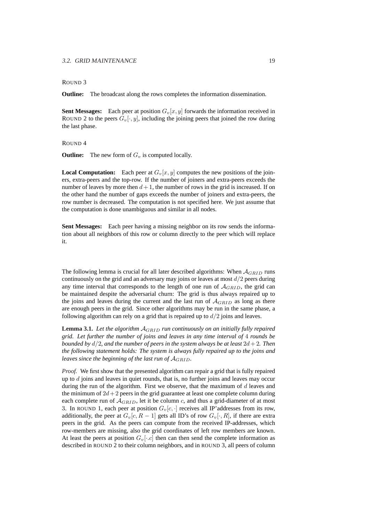#### 3.2. GRID MAINTENANCE 19

#### ROUND 3

**Outline:** The broadcast along the rows completes the information dissemination.

**Sent Messages:** Each peer at position  $G_v[x, y]$  forwards the information received in ROUND 2 to the peers  $G_v[\cdot, y]$ , including the joining peers that joined the row during the last phase.

#### ROUND 4

**Outline:** The new form of  $G_v$  is computed locally.

**Local Computation:** Each peer at  $G_v[x, y]$  computes the new positions of the joiners, extra-peers and the top-row. If the number of joiners and extra-peers exceeds the number of leaves by more then  $d+1$ , the number of rows in the grid is increased. If on the other hand the number of gaps exceeds the number of joiners and extra-peers, the row number is decreased. The computation is not specified here. We just assume that the computation is done unambiguous and similar in all nodes.

**Sent Messages:** Each peer having a missing neighbor on its row sends the information about all neighbors of this row or column directly to the peer which will replace it.

The following lemma is crucial for all later described algorithms: When  $A_{GRID}$  runs continuously on the grid and an adversary may joins or leaves at most  $d/2$  peers during any time interval that corresponds to the length of one run of  $A_{GRID}$ , the grid can be maintained despite the adversarial churn: The grid is thus always repaired up to the joins and leaves during the current and the last run of  $A_{GRID}$  as long as there are enough peers in the grid. Since other algorithms may be run in the same phase, a following algorithm can rely on a grid that is repaired up to  $d/2$  joins and leaves.

**Lemma 3.1.** *Let the algorithm* AGRID *run continuously on an initially fully repaired grid. Let further the number of joins and leaves in any time interval of* 4 *rounds be bounded by*  $d/2$ *, and the number of peers in the system always be at least*  $2d + 2$ *. Then the following statement holds: The system is always fully repaired up to the joins and leaves since the beginning of the last run of* AGRID*.*

*Proof.* We first show that the presented algorithm can repair a grid that is fully repaired up to  $d$  joins and leaves in quiet rounds, that is, no further joins and leaves may occur during the run of the algorithm. First we observe, that the maximum of  $d$  leaves and the minimum of  $2d+2$  peers in the grid guarantee at least one complete column during each complete run of  $A_{GRID}$ , let it be column c, and thus a grid-diameter of at most 3. In ROUND 1, each peer at position  $G_v[c, \cdot]$  receives all IP'addresses from its row, additionally, the peer at  $G_v[c, R - 1]$  gets all ID's of row  $G_v[\cdot, R]$ , if there are extra peers in the grid. As the peers can compute from the received IP-addresses, which row-members are missing, also the grid coordinates of left row members are known. At least the peers at position  $G_v[\cdot,c]$  then can then send the complete information as described in ROUND 2 to their column neighbors, and in ROUND 3, all peers of column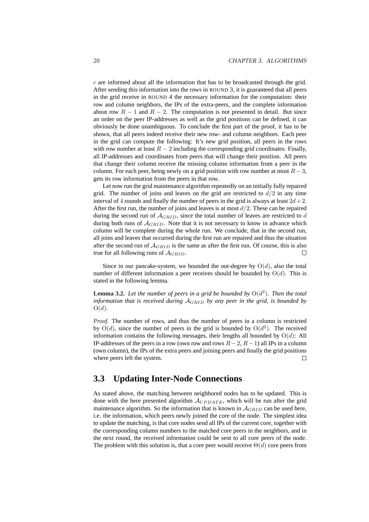$c$  are informed about all the information that has to be broadcasted through the grid. After sending this information into the rows in ROUND 3, it is guaranteed that all peers in the grid receive in ROUND 4 the necessary information for the computation: their row and column neighbors, the IPs of the extra-peers, and the complete information about row  $R - 1$  and  $R - 2$ . The computation is not presented in detail. But since an order on the peer IP-addresses as well as the grid positions can be defined, it can obviously be done unambiguous. To conclude the first part of the proof, it has to be shown, that all peers indeed receive their new row- and column neighbors. Each peer in the grid can compute the following: It's new grid position, all peers in the rows with row number at least  $R - 2$  including the corresponding grid coordinates. Finally, all IP-addresses and coordinates from peers that will change their position. All peers that change their column receive the missing column information from a peer in the column. For each peer, being newly on a grid position with row number at most  $R-3$ , gets its row information from the peers in that row.

Let now run the grid maintenance algorithm repeatedly on an initially fully repaired grid. The number of joins and leaves on the grid are restricted to  $d/2$  in any time interval of 4 rounds and finally the number of peers in the grid is always at least  $2d+2$ . After the first run, the number of joins and leaves is at most  $d/2$ . These can be repaired during the second run of  $A_{GRID}$ , since the total number of leaves are restricted to  $d$ during both runs of  $A_{GRID}$ . Note that it is not necessary to know in advance which column will be complete during the whole run. We conclude, that in the second run, all joins and leaves that occurred during the first run are repaired and thus the situation after the second run of  $A_{GRID}$  is the same as after the first run. Of course, this is also true for all following runs of  $A_{GRID}$ .  $\Box$ 

Since in our pancake-system, we bounded the out-degree by  $O(d)$ , also the total number of different information a peer receives should be bounded by  $O(d)$ . This is stated in the following lemma.

**Lemma 3.2.** Let the number of peers in a grid be bounded by  $O(d^2)$ . Then the total *information that is received during* AGRID *by any peer in the grid, is bounded by* O(d)*.*

*Proof.* The number of rows, and thus the number of peers in a column is restricted by  $O(d)$ , since the number of peers in the grid is bounded by  $O(d^2)$ . The received information contains the following messages, their lengths all bounded by  $O(d)$ : All IP-addresses of the peers in a row (own row and rows  $R-2$ ,  $R-1$ ) all IPs in a column (own column), the IPs of the extra peers and joining peers and finally the grid positions where peers left the system.  $\Box$ 

### **3.3 Updating Inter-Node Connections**

As stated above, the matching between neighbored nodes has to be updated. This is done with the here presented algorithm  $A_{UPDATE}$ , which will be run after the grid maintenance algorithm. So the information that is known in  $\mathcal{A}_{GRID}$  can be used here, i.e. the information, which peers newly joined the core of the node. The simplest idea to update the matching, is that core nodes send all IPs of the current core, together with the corresponding column numbers to the matched core peers in the neighbors, and in the next round, the received information could be sent to all core peers of the node. The problem with this solution is, that a core peer would receive  $\Theta(d)$  core peers from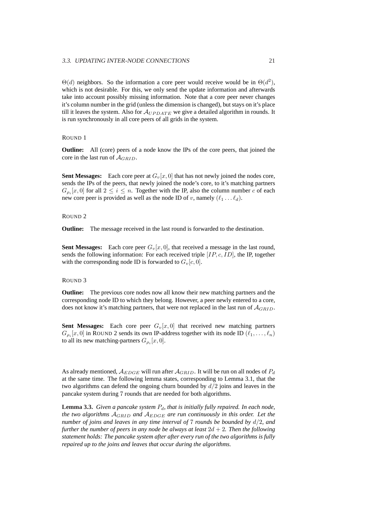$\Theta(d)$  neighbors. So the information a core peer would receive would be in  $\Theta(d^2)$ , which is not desirable. For this, we only send the update information and afterwards take into account possibly missing information. Note that a core peer never changes it's column number in the grid (unless the dimension is changed), but stays on it's place till it leaves the system. Also for  $A_{UPDATE}$  we give a detailed algorithm in rounds. It is run synchronously in all core peers of all grids in the system.

#### ROUND 1

**Outline:** All (core) peers of a node know the IPs of the core peers, that joined the core in the last run of  $\mathcal{A}_{GRID}$ .

**Sent Messages:** Each core peer at  $G_v[x, 0]$  that has not newly joined the nodes core, sends the IPs of the peers, that newly joined the node's core, to it's matching partners  $G_{\rho_i}[x,0]$  for all  $2 \leq i \leq n$ . Together with the IP, also the column number c of each new core peer is provided as well as the node ID of v, namely  $(\ell_1 \dots \ell_d)$ .

#### ROUND 2

**Outline:** The message received in the last round is forwarded to the destination.

**Sent Messages:** Each core peer  $G_v[x, 0]$ , that received a message in the last round, sends the following information: For each received triple  $[IP, c, ID]$ , the IP, together with the corresponding node ID is forwarded to  $G_v[c, 0]$ .

#### ROUND 3

**Outline:** The previous core nodes now all know their new matching partners and the corresponding node ID to which they belong. However, a peer newly entered to a core, does not know it's matching partners, that were not replaced in the last run of  $A_{GRID}$ .

**Sent Messages:** Each core peer  $G_v[x, 0]$  that received new matching partners  $G_{\rho_i}[x,0]$  in ROUND 2 sends its own IP-address together with its node ID  $(\ell_1, \ldots, \ell_n)$ to all its new matching-partners  $G_{\rho_i}[x,0]$ .

As already mentioned,  $A_{EDGE}$  will run after  $A_{GRID}$ . It will be run on all nodes of  $P_d$ at the same time. The following lemma states, corresponding to Lemma 3.1, that the two algorithms can defend the ongoing churn bounded by  $d/2$  joins and leaves in the pancake system during 7 rounds that are needed for both algorithms.

**Lemma 3.3.** *Given a pancake system*  $P_d$ *, that is initially fully repaired. In each node, the two algorithms* AGRID *and* AEDGE *are run continuously in this order. Let the number of joins and leaves in any time interval of* 7 *rounds be bounded by* d/2*, and further the number of peers in any node be always at least*  $2d + 2$ *. Then the following statement holds: The pancake system after after every run of the two algorithms is fully repaired up to the joins and leaves that occur during the algorithms.*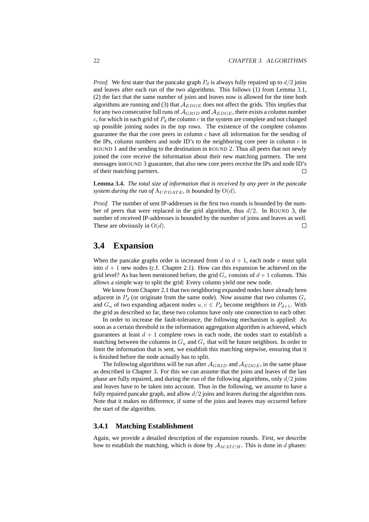*Proof.* We first state that the pancake graph  $P_d$  is always fully repaired up to  $d/2$  joins and leaves after each run of the two algorithms. This follows (1) from Lemma 3.1, (2) the fact that the same number of joins and leaves now is allowed for the time both algorithms are running and (3) that  $A_{EDGE}$  does not affect the grids. This implies that for any two consecutive full runs of  $A_{GRID}$  and  $A_{EDGE}$ , there exists a column number  $c$ , for which in each grid of  $P_d$  the column c in the system are complete and not changed up possible joining nodes in the top rows. The existence of the complete columns guarantee the that the core peers in column  $c$  have all information for the sending of the IPs, column numbers and node ID's to the neighboring core peer in column  $c$  in ROUND 1 and the sending to the destination in ROUND 2. Thus all peers that not newly joined the core receive the information about their new matching partners. The sent messages inROUND 3 guarantee, that also new core peers receive the IPs and node ID's of their matching partners.  $\Box$ 

**Lemma 3.4.** *The total size of information that is received by any peer in the pancake system during the run of*  $A_{UPDATE}$ *, is bounded by*  $O(d)$ *.* 

*Proof.* The number of sent IP-addresses in the first two rounds is bounded by the number of peers that were replaced in the grid algorithm, thus  $d/2$ . In ROUND 3, the number of received IP-addresses is bounded by the number of joins and leaves as well. These are obviously in  $O(d)$ .  $\Box$ 

### **3.4 Expansion**

When the pancake graphs order is increased from  $d$  to  $d + 1$ , each node v must split into  $d + 1$  new nodes (c.f. Chapter 2.1). How can this expansion be achieved on the grid level? As has been mentioned before, the grid  $G_v$  consists of  $d+1$  columns. This allows a simple way to split the grid: Every column yield one new node.

We know from Chapter 2.1 that two neighboring expanded nodes have already been adjacent in  $P_d$  (or originate from the same node). Now assume that two columns  $G_v$ and  $G_u$  of two expanding adjacent nodes  $u, v \in P_d$  become neighbors in  $P_{d+1}$ . With the grid as described so far, these two columns have only one connection to each other.

In order to increase the fault-tolerance, the following mechanism is applied: As soon as a certain threshold in the information aggregation algorithm is achieved, which guarantees at least  $d + 1$  complete rows in each node, the nodes start to establish a matching between the columns in  $G_u$  and  $G_v$  that will be future neighbors. In order to limit the information that is sent, we establish this matching stepwise, ensuring that it is finished before the node actually has to split.

The following algorithms will be run after  $\mathcal{A}_{GRID}$  and  $\mathcal{A}_{EDGE}$ , in the same phase as described in Chapter 3. For this we can assume that the joins and leaves of the last phase are fully repaired, and during the run of the following algorithms, only  $d/2$  joins and leaves have to be taken into account. Thus in the following, we assume to have a fully repaired pancake graph, and allow  $d/2$  joins and leaves during the algorithm runs. Note that it makes no difference, if some of the joins and leaves may occurred before the start of the algorithm.

#### **3.4.1 Matching Establishment**

Again, we provide a detailed description of the expansion rounds. First, we describe how to establish the matching, which is done by  $A_{MATCH}$ . This is done in d phases: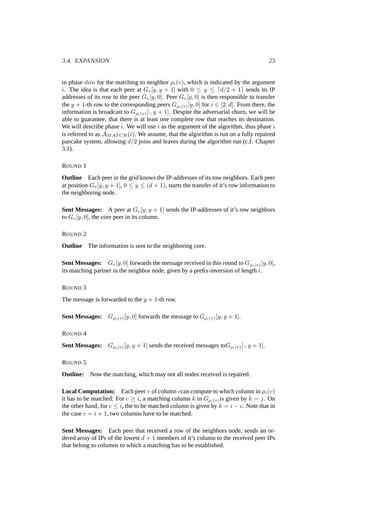#### 3.4. EXPANSION 23

in phase dim for the matching to neighbor  $\rho_i(v)$ , which is indicated by the argument i. The idea is that each peer at  $G_v[y, y + 1]$  with  $0 \le y \le \lfloor d/2 + 1 \rfloor$  sends its IP addresses of its row to the peer  $G_v[y, 0]$ . Peer  $G_v[y, 0]$  is then responsible to transfer the  $y + 1$ -th row to the corresponding peers  $G_{\rho_i(v)}[y, 0]$  for  $i \in [2, d]$ . From there, the information is broadcast to  $G_{\rho_i(v)}[\cdot, y+1]$ . Despite the adversarial churn, we will be able to guarantee, that there is at least one complete row that reaches its destination. We will describe phase i. We will use i as the argument of the algorithm, thus phase i is referred to as  $A_{MATCH}(i)$ . We assume, that the algorithm is run on a fully repaired pancake system, allowing  $d/2$  joins and leaves during the algorithm run (c.f. Chapter 3.1).

#### ROUND 1

**Outline** Each peer in the grid knows the IP-addresses of its row neighbors. Each peer at position  $G_v[y, y + 1]$ ,  $0 \le y \le (d + 1)$ , starts the transfer of it's row information to the neighboring node.

**Sent Messages:** A peer at  $G_v[y, y + 1]$  sends the IP-addresses of it's row neighbors to  $G_v[y, 0]$ , the core peer in its column.

#### ROUND 2

**Outline** The information is sent to the neighboring core.

**Sent Messages:**  $G_v[y, 0]$  forwards the message received in this round to  $G_{\rho_i(v)}[y, 0]$ , its matching partner in the neighbor node, given by a prefix-inversion of length  $i$ .

#### ROUND 3

The message is forwarded to the  $y + 1$ -th row.

**Sent Messages:**  $G_{\rho_i(v)}[y,0]$  forwards the message to  $G_{\rho_i(v)}[y,y+1]$ .

ROUND 4

**Sent Messages:**  $G_{\rho_i(v)}[y, y+1]$  sends the received messages to  $G_{\rho_i(v)}[\cdot, y+1]$ .

ROUND 5

**Outline:** Now the matching, which may not all nodes received is repaired.

**Local Computation:** Each peer v of column ccan compute to which column in  $\rho_i(v)$ it has to be matched: For  $c \geq i$ , a matching column k in  $G_{\rho_i(v)}$  is given by  $k = j$ . On the other hand, for  $c \leq i$ , the to be matched column is given by  $k = i - c$ . Note that in the case  $c = i + 1$ , two columns have to be matched.

**Sent Messages:** Each peer that received a row of the neighbors node, sends an ordered array of IPs of the lowest  $d + 1$  members of it's column to the received peer IPs that belong to columns to which a matching has to be established.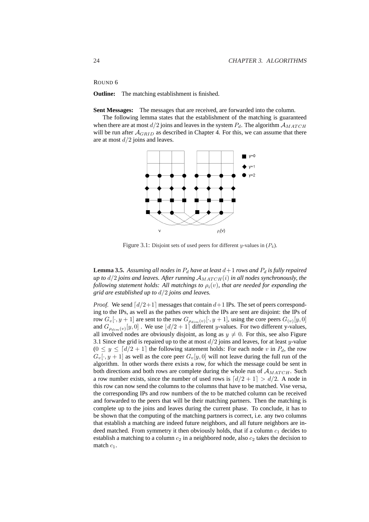ROUND 6

**Outline:** The matching establishment is finished.

**Sent Messages:** The messages that are received, are forwarded into the column.

The following lemma states that the establishment of the matching is guaranteed when there are at most  $d/2$  joins and leaves in the system  $P_d$ . The algorithm  $A_{MATCH}$ will be run after  $A_{GRID}$  as described in Chapter 4. For this, we can assume that there are at most  $d/2$  joins and leaves.



Figure 3.1: Disjoint sets of used peers for different y-values in  $(P_4)$ .

**Lemma 3.5.** Assuming all nodes in  $P_d$  have at least  $d+1$  rows and  $P_d$  is fully repaired *up to*  $d/2$  *joins and leaves. After running*  $\mathcal{A}_{MATCH}(i)$  *in all nodes synchronously, the following statement holds: All matchings to*  $\rho_i(v)$ *, that are needed for expanding the grid are established up to* d/2 *joins and leaves.*

*Proof.* We send  $\lceil d/2+1 \rceil$  messages that contain  $d+1$  IPs. The set of peers corresponding to the IPs, as well as the pathes over which the IPs are sent are disjoint: the IPs of row  $G_v[\cdot, y+1]$  are sent to the row  $G_{\rho_{dim}(v)}[\cdot, y+1]$ , using the core peers  $G_{(v)}[y, 0]$ and  $G_{\rho_{dim}(v)}[y,0]$  . We use  $\lfloor d/2 + 1 \rfloor$  different y-values. For two different y-values, all involved nodes are obviously disjoint, as long as  $y \neq 0$ . For this, see also Figure 3.1 Since the grid is repaired up to the at most  $d/2$  joins and leaves, for at least y-value  $(0 \le y \le \lceil d/2 + 1 \rceil)$  the following statement holds: For each node v in  $P_d$ , the row  $G_v[\cdot, y + 1]$  as well as the core peer  $G_v[y, 0]$  will not leave during the full run of the algorithm. In other words there exists a row, for which the message could be sent in both directions and both rows are complete during the whole run of  $A_{MATCH}$ . Such a row number exists, since the number of used rows is  $\lfloor d/2 + 1 \rfloor > d/2$ . A node in this row can now send the columns to the columns that have to be matched. Vise versa, the corresponding IPs and row numbers of the to be matched column can be received and forwarded to the peers that will be their matching partners. Then the matching is complete up to the joins and leaves during the current phase. To conclude, it has to be shown that the computing of the matching partners is correct, i.e. any two columns that establish a matching are indeed future neighbors, and all future neighbors are indeed matched. From symmetry it then obviously holds, that if a column  $c_1$  decides to establish a matching to a column  $c_2$  in a neighbored node, also  $c_2$  takes the decision to match  $c_1$ .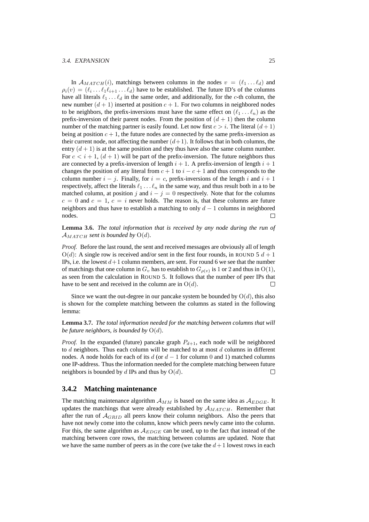#### 3.4. EXPANSION 25

In  $A_{MATCH}(i)$ , matchings between columns in the nodes  $v = (\ell_1 \dots \ell_d)$  and  $\rho_i(v) = (\ell_i \dots \ell_1 \ell_{i+1} \dots \ell_d)$  have to be established. The future ID's of the columns have all literals  $\ell_1 \ldots \ell_d$  in the same order, and additionally, for the c-th column, the new number  $(d + 1)$  inserted at position  $c + 1$ . For two columns in neighbored nodes to be neighbors, the prefix-inversions must have the same effect on  $(\ell_1 \dots \ell_n)$  as the prefix-inversion of their parent nodes. From the position of  $(d + 1)$  then the column number of the matching partner is easily found. Let now first  $c > i$ . The literal  $(d+1)$ being at position  $c + 1$ , the future nodes are connected by the same prefix-inversion as their current node, not affecting the number  $(d+1)$ . It follows that in both columns, the entry  $(d+1)$  is at the same position and they thus have also the same column number. For  $c < i + 1$ ,  $(d + 1)$  will be part of the prefix-inversion. The future neighbors thus are connected by a prefix-inversion of length  $i + 1$ . A prefix-inversion of length  $i + 1$ changes the position of any literal from  $c + 1$  to  $i - c + 1$  and thus corresponds to the column number  $i - j$ . Finally, for  $i = c$ , prefix-inversions of the length i and  $i + 1$ respectively, affect the literals  $\ell_1 \ldots \ell_n$  in the same way, and thus result both in a to be matched column, at position j and  $i - j = 0$  respectively. Note that for the columns  $c = 0$  and  $c = 1$ ,  $c = i$  never holds. The reason is, that these columns are future neighbors and thus have to establish a matching to only  $d - 1$  columns in neighbored nodes.

**Lemma 3.6.** *The total information that is received by any node during the run of*  $A_{MATCH}$  *sent is bounded by*  $O(d)$ *.* 

*Proof.* Before the last round, the sent and received messages are obviously all of length  $O(d)$ : A single row is received and/or sent in the first four rounds, in ROUND 5  $d+1$ IPs, i.e. the lowest  $d+1$  column members, are sent. For round 6 we see that the number of matchings that one column in  $G_v$  has to establish to  $G_{\rho(v)}$  is 1 or 2 and thus in O(1), as seen from the calculation in ROUND 5. It follows that the number of peer IPs that have to be sent and received in the column are in  $O(d)$ .  $\Box$ 

Since we want the out-degree in our pancake system be bounded by  $O(d)$ , this also is shown for the complete matching between the columns as stated in the following lemma:

**Lemma 3.7.** *The total information needed for the matching between columns that will be future neighbors, is bounded by*  $O(d)$ *.* 

*Proof.* In the expanded (future) pancake graph  $P_{d+1}$ , each node will be neighbored to  $d$  neighbors. Thus each column will be matched to at most  $d$  columns in different nodes. A node holds for each of its d (or  $d - 1$  for column 0 and 1) matched columns one IP-address. Thus the information needed for the complete matching between future neighbors is bounded by d IPs and thus by  $O(d)$ .  $\Box$ 

#### **3.4.2 Matching maintenance**

The matching maintenance algorithm  $A_{MM}$  is based on the same idea as  $A_{EDGE}$ . It updates the matchings that were already established by  $A_{MATCH}$ . Remember that after the run of  $A_{GRID}$  all peers know their column neighbors. Also the peers that have not newly come into the column, know which peers newly came into the column. For this, the same algorithm as  $A_{EDGE}$  can be used, up to the fact that instead of the matching between core rows, the matching between columns are updated. Note that we have the same number of peers as in the core (we take the  $d+1$  lowest rows in each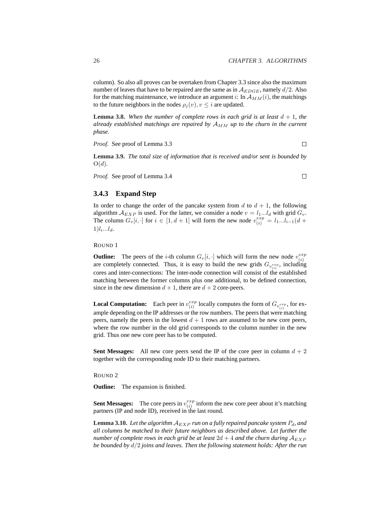column). So also all proves can be overtaken from Chapter 3.3 since also the maximum number of leaves that have to be repaired are the same as in  $\mathcal{A}_{EDGE}$ , namely  $d/2$ . Also for the matching maintenance, we introduce an argument i: In  $A_{MM}(i)$ , the matchings to the future neighbors in the nodes  $\rho_i(v)$ ,  $v \leq i$  are updated.

**Lemma 3.8.** When the number of complete rows in each grid is at least  $d + 1$ , the *already established matchings are repaired by*  $A_{MM}$  *up to the churn in the current phase.*

*Proof.* See proof of Lemma 3.3

 $\Box$ 

**Lemma 3.9.** *The total size of information that is received and/or sent is bounded by* O(d)*.*

*Proof.* See proof of Lemma 3.4

 $\Box$ 

### **3.4.3 Expand Step**

In order to change the order of the pancake system from  $d$  to  $d + 1$ , the following algorithm  $A_{EXP}$  is used. For the latter, we consider a node  $v = l_1...l_d$  with grid  $G_v$ . The column  $G_v[i, \cdot]$  for  $i \in [1, d + 1]$  will form the new node  $v_{(i)}^{exp} = l_1...l_{i-1}(d + 1)$  $1)$  $l_i...l_d$ .

ROUND 1

**Outline:** The peers of the *i*-th column  $G_v[i, \cdot]$  which will form the new node  $v_{(i)}^{exp}$ (i) are completely connected. Thus, it is easy to build the new grids  $G_{v_{(i)}^{exp}}$ , including cores and inter-connections: The inter-node connection will consist of the established matching between the former columns plus one additional, to be defined connection, since in the new dimension  $d + 1$ , there are  $d + 2$  core-peers.

**Local Computation:** Each peer in  $v_{(i)}^{exp}$  $\mathcal{E}^{exp}_{(i)}$  locally computes the form of  $G_{v_{(i)}^{exp}}$ , for example depending on the IP addresses or the row numbers. The peers that were matching peers, namely the peers in the lowest  $d + 1$  rows are assumed to be new core peers, where the row number in the old grid corresponds to the column number in the new grid. Thus one new core peer has to be computed.

**Sent Messages:** All new core peers send the IP of the core peer in column  $d + 2$ together with the corresponding node ID to their matching partners.

ROUND 2

**Outline:** The expansion is finished.

**Sent Messages:** The core peers in  $v_{(i)}^{exp}$  $\begin{bmatrix} exp \\ p \end{bmatrix}$  inform the new core peer about it's matching partners (IP and node ID), received in the last round.

**Lemma 3.10.** Let the algorithm  $A_{EXP}$  *run on a fully repaired pancake system*  $P_d$ *, and all columns be matched to their future neighbors as described above. Let further the number of complete rows in each grid be at least*  $2d + 4$  *and the churn during*  $A_{EXP}$ *be bounded by* d/2 *joins and leaves. Then the following statement holds: After the run*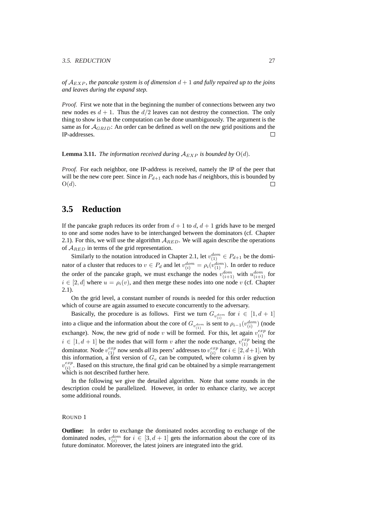#### 3.5. REDUCTION 27

*of*  $\mathcal{A}_{EXP}$ , the pancake system is of dimension  $d+1$  and fully repaired up to the joins *and leaves during the expand step.*

*Proof.* First we note that in the beginning the number of connections between any two new nodes es  $d + 1$ . Thus the  $d/2$  leaves can not destroy the connection. The only thing to show is that the computation can be done unambiguously. The argument is the same as for  $A_{GRID}$ : An order can be defined as well on the new grid positions and the IP-addresses.  $\Box$ 

**Lemma 3.11.** *The information received during*  $A_{EXP}$  *is bounded by*  $O(d)$ *.* 

*Proof.* For each neighbor, one IP-address is received, namely the IP of the peer that will be the new core peer. Since in  $P_{d+1}$  each node has d neighbors, this is bounded by  $O(d)$ .  $\Box$ 

## **3.5 Reduction**

If the pancake graph reduces its order from  $d + 1$  to  $d$ ,  $d + 1$  grids have to be merged to one and some nodes have to be interchanged between the dominators (cf. Chapter 2.1). For this, we will use the algorithm  $A_{RED}$ . We will again describe the operations of  $A_{RED}$  in terms of the grid representation.

Similarly to the notation introduced in Chapter 2.1, let  $v_{(1)}^{dom} \in P_{d+1}$  be the dominator of a cluster that reduces to  $v \in P_d$  and let  $v_{(i)}^{dom} = \rho_i(v_{(1)}^{dom})$ . In order to reduce the order of the pancake graph, we must exchange the nodes  $v_{(i+1)}^{dom}$  with  $u_{(i+1)}^{dom}$  for  $i \in [2, d]$  where  $u = \rho_i(v)$ , and then merge these nodes into one node v (cf. Chapter 2.1).

On the grid level, a constant number of rounds is needed for this order reduction which of course are again assumed to execute concurrently to the adversary.

Basically, the procedure is as follows. First we turn  $G_{v_{(i)}^{dom}}$  for  $i \in [1, d + 1]$ into a clique and the information about the core of  $G_{v_{(1)}^{dom}}$  is sent to  $\rho_{i-1}(v_{(i)}^{dom})$  (node exchange). Now, the new grid of node v will be formed. For this, let again  $v_{(i)}^{exp}$  $\frac{exp}{(i)}$  for  $i \in [1, d + 1]$  be the nodes that will form v after the node exchange,  $v_{(1)}^{exp}$  being the dominator. Node  $v_{(1)}^{exp}$  now sends *all* its peers' addresses to  $v_{(i)}^{exp}$  $_{(i)}^{exp}$  for  $i \in [2, d+1]$ . With this information, a first version of  $G_v$  can be computed, where column i is given by  $v_{\alpha}^{exp}$  $\binom{exp}{i}$ . Based on this structure, the final grid can be obtained by a simple rearrangement which is not described further here.

In the following we give the detailed algorithm. Note that some rounds in the description could be parallelized. However, in order to enhance clarity, we accept some additional rounds.

#### ROUND 1

**Outline:** In order to exchange the dominated nodes according to exchange of the dominated nodes,  $v_{(i)}^{dom}$  for  $i \in [3, d + 1]$  gets the information about the core of its future dominator. Moreover, the latest joiners are integrated into the grid.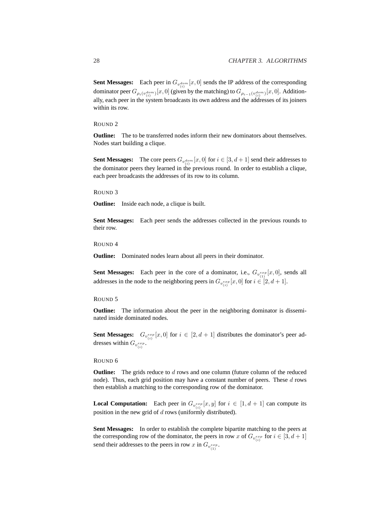**Sent Messages:** Each peer in  $G_{v_{(i)}^{dom}}[x,0]$  sends the IP address of the corresponding dominator peer  $G_{\rho_i(v_{(i)}^{dom})}[x,0]$  (given by the matching) to  $G_{\rho_{i-1}(v_{(i)}^{dom})}[x,0]$ . Additionally, each peer in the system broadcasts its own address and the addresses of its joiners within its row.

#### ROUND 2

**Outline:** The to be transferred nodes inform their new dominators about themselves. Nodes start building a clique.

**Sent Messages:** The core peers  $G_{v_{(i)}^{dom}}[x,0]$  for  $i \in [3,d+1]$  send their addresses to the dominator peers they learned in the previous round. In order to establish a clique, each peer broadcasts the addresses of its row to its column.

#### ROUND 3

**Outline:** Inside each node, a clique is built.

**Sent Messages:** Each peer sends the addresses collected in the previous rounds to their row.

ROUND 4

**Outline:** Dominated nodes learn about all peers in their dominator.

**Sent Messages:** Each peer in the core of a dominator, i.e.,  $G_{v_{(1)}^{exp}}[x,0]$ , sends all addresses in the node to the neighboring peers in  $G_{v_{(i)}^{exp}}[x,0]$  for  $i \in [2,d+1]$ .

#### ROUND 5

**Outline:** The information about the peer in the neighboring dominator is disseminated inside dominated nodes.

**Sent Messages:**  $G_{v_{(i)}^{exp}}[x, 0]$  for  $i \in [2, d + 1]$  distributes the dominator's peer addresses within  $G_{v_{(i)}^{exp}}$ .

#### ROUND 6

**Outline:** The grids reduce to d rows and one column (future column of the reduced node). Thus, each grid position may have a constant number of peers. These  $d$  rows then establish a matching to the corresponding row of the dominator.

**Local Computation:** Each peer in  $G_{v_{(i)}^{exp}}[x, y]$  for  $i \in [1, d + 1]$  can compute its position in the new grid of  $d$  rows (uniformly distributed).

**Sent Messages:** In order to establish the complete bipartite matching to the peers at the corresponding row of the dominator, the peers in row x of  $G_{v_{(i)}^{exp}}$  for  $i \in [3, d + 1]$ send their addresses to the peers in row x in  $G_{v_{(1)}^{exp}}$ .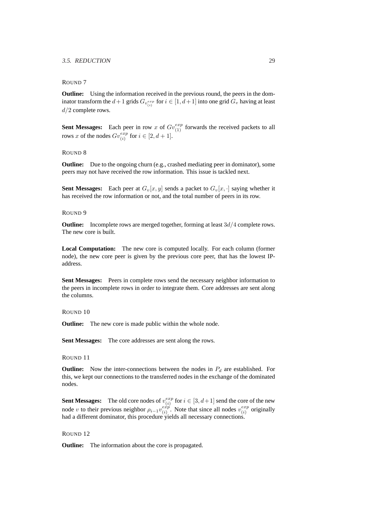#### 3.5. REDUCTION 29

#### ROUND 7

**Outline:** Using the information received in the previous round, the peers in the dominator transform the  $d+1$  grids  $G_{v_{(i)}^{exp}}$  for  $i \in [1, d+1]$  into one grid  $G_v$  having at least  $d/2$  complete rows.

**Sent Messages:** Each peer in row x of  $Gv_{(1)}^{exp}$  forwards the received packets to all rows x of the nodes  $Gv_{(i)}^{exp}$  for  $i \in [2, d+1]$ .

#### ROUND 8

**Outline:** Due to the ongoing churn (e.g., crashed mediating peer in dominator), some peers may not have received the row information. This issue is tackled next.

**Sent Messages:** Each peer at  $G_v[x, y]$  sends a packet to  $G_v[x, \cdot]$  saying whether it has received the row information or not, and the total number of peers in its row.

#### ROUND 9

**Outline:** Incomplete rows are merged together, forming at least  $3d/4$  complete rows. The new core is built.

**Local Computation:** The new core is computed locally. For each column (former node), the new core peer is given by the previous core peer, that has the lowest IPaddress.

**Sent Messages:** Peers in complete rows send the necessary neighbor information to the peers in incomplete rows in order to integrate them. Core addresses are sent along the columns.

#### ROUND 10

**Outline:** The new core is made public within the whole node.

**Sent Messages:** The core addresses are sent along the rows.

ROUND 11

**Outline:** Now the inter-connections between the nodes in  $P_d$  are established. For this, we kept our connections to the transferred nodes in the exchange of the dominated nodes.

**Sent Messages:** The old core nodes of  $v_{(i)}^{exp}$  $\binom{exp}{(i)}$  for  $i \in [3, d+1]$  send the core of the new node v to their previous neighbor  $\rho_{i-1} v_{(i)}^{exp}$  $\begin{array}{c} (e\overset{ex}{x}\overset{ex}{p})$ . Note that since all nodes  $v^{exp}_{(i)}$  $\binom{exp}{i}$  originally had a different dominator, this procedure yields all necessary connections.

#### ROUND 12

**Outline:** The information about the core is propagated.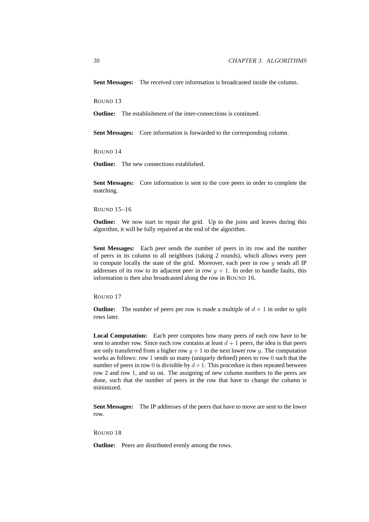**Sent Messages:** The received core information is broadcasted inside the column.

ROUND 13

**Outline:** The establishment of the inter-connections is continued.

**Sent Messages:** Core information is forwarded to the corresponding column.

ROUND 14

**Outline:** The new connections established.

**Sent Messages:** Core information is sent to the core peers in order to complete the matching.

#### ROUND 15–16

**Outline:** We now start to repair the grid. Up to the joins and leaves during this algorithm, it will be fully repaired at the end of the algorithm.

**Sent Messages:** Each peer sends the number of peers in its row and the number of peers in its column to all neighbors (taking 2 rounds), which allows every peer to compute locally the state of the grid. Moreover, each peer in row  $y$  sends all IP addresses of its row to its adjacent peer in row  $y + 1$ . In order to handle faults, this information is then also broadcasted along the row in ROUND 16.

ROUND 17

**Outline:** The number of peers per row is made a multiple of  $d + 1$  in order to split rows later.

**Local Computation:** Each peer computes how many peers of each row have to be sent to another row. Since each row contains at least  $d + 1$  peers, the idea is that peers are only transferred from a higher row  $y + 1$  to the next lower row y. The computation works as follows: row 1 sends so many (uniquely defined) peers to row 0 such that the number of peers in row 0 is divisible by  $d+1$ . This procedure is then repeated between row 2 and row 1, and so on. The assigning of new column numbers to the peers are done, such that the number of peers in the row that have to change the column is minimized.

**Sent Messages:** The IP addresses of the peers that have to move are sent to the lower row.

ROUND 18

**Outline:** Peers are distributed evenly among the rows.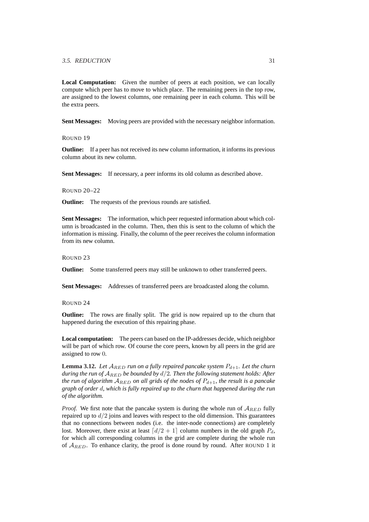#### 3.5. REDUCTION 31

**Local Computation:** Given the number of peers at each position, we can locally compute which peer has to move to which place. The remaining peers in the top row, are assigned to the lowest columns, one remaining peer in each column. This will be the extra peers.

**Sent Messages:** Moving peers are provided with the necessary neighbor information.

ROUND 19

**Outline:** If a peer has not received its new column information, it informs its previous column about its new column.

**Sent Messages:** If necessary, a peer informs its old column as described above.

ROUND 20–22

**Outline:** The requests of the previous rounds are satisfied.

**Sent Messages:** The information, which peer requested information about which column is broadcasted in the column. Then, then this is sent to the column of which the information is missing. Finally, the column of the peer receives the column information from its new column.

ROUND 23

**Outline:** Some transferred peers may still be unknown to other transferred peers.

**Sent Messages:** Addresses of transferred peers are broadcasted along the column.

ROUND 24

**Outline:** The rows are finally split. The grid is now repaired up to the churn that happened during the execution of this repairing phase.

**Local computation:** The peers can based on the IP-addresses decide, which neighbor will be part of which row. Of course the core peers, known by all peers in the grid are assigned to row 0.

**Lemma 3.12.** Let  $A_{RED}$  *run on a fully repaired pancake system*  $P_{d+1}$ *. Let the churn during the run of* ARED *be bounded by* d/2*. Then the following statement holds: After the run of algorithm*  $A_{RED}$  *on all grids of the nodes of*  $P_{d+1}$ *, the result is a pancake graph of order* d*, which is fully repaired up to the churn that happened during the run of the algorithm.*

*Proof.* We first note that the pancake system is during the whole run of  $A_{RED}$  fully repaired up to  $d/2$  joins and leaves with respect to the old dimension. This guarantees that no connections between nodes (i.e. the inter-node connections) are completely lost. Moreover, there exist at least  $\lceil d/2 + 1 \rceil$  column numbers in the old graph  $P_d$ , for which all corresponding columns in the grid are complete during the whole run of  $A_{RED}$ . To enhance clarity, the proof is done round by round. After ROUND 1 it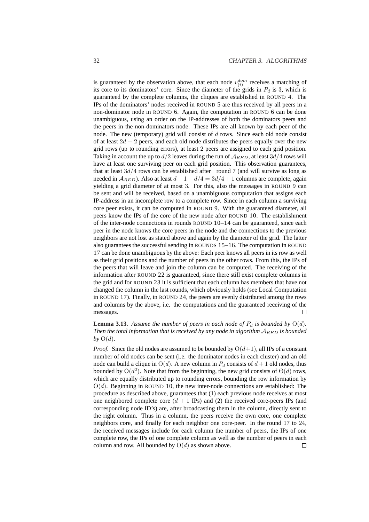is guaranteed by the observation above, that each node  $v_{(i)}^{dom}$  receives a matching of its core to its dominators' core. Since the diameter of the grids in  $P_d$  is 3, which is guaranteed by the complete columns, the cliques are established in ROUND 4. The IPs of the dominators' nodes received in ROUND 5 are thus received by all peers in a non-dominator node in ROUND 6. Again, the computation in ROUND 6 can be done unambiguous, using an order on the IP-addresses of both the dominators peers and the peers in the non-dominators node. These IPs are all known by each peer of the node. The new (temporary) grid will consist of  $d$  rows. Since each old node consist of at least  $2d + 2$  peers, and each old node distributes the peers equally over the new grid rows (up to rounding errors), at least 2 peers are assigned to each grid position. Taking in account the up to  $d/2$  leaves during the run of  $A_{RED}$ , at least  $3d/4$  rows will have at least one surviving peer on each grid position. This observation guarantees, that at least  $3d/4$  rows can be established after round 7 (and will survive as long as needed in  $A_{RED}$ ). Also at least  $d + 1 - d/4 = 3d/4 + 1$  columns are complete, again yielding a grid diameter of at most 3. For this, also the messages in ROUND 9 can be sent and will be received, based on a unambiguous computation that assigns each IP-address in an incomplete row to a complete row. Since in each column a surviving core peer exists, it can be computed in ROUND 9. With the guaranteed diameter, all peers know the IPs of the core of the new node after ROUND 10. The establishment of the inter-node connections in rounds ROUND 10–14 can be guaranteed, since each peer in the node knows the core peers in the node and the connections to the previous neighbors are not lost as stated above and again by the diameter of the grid. The latter also guarantees the successful sending in ROUNDS 15–16. The computation in ROUND 17 can be done unambiguous by the above: Each peer knows all peers in its row as well as their grid positions and the number of peers in the other rows. From this, the IPs of the peers that will leave and join the column can be computed. The receiving of the information after ROUND 22 is guaranteed, since there still exist complete columns in the grid and for ROUND 23 it is sufficient that each column has members that have not changed the column in the last rounds, which obviously holds (see Local Computation in ROUND 17). Finally, in ROUND 24, the peers are evenly distributed among the rows and columns by the above, i.e. the computations and the guaranteed receiving of the messages.  $\Box$ 

**Lemma 3.13.** Assume the number of peers in each node of  $P_d$  is bounded by  $O(d)$ . *Then the total information that is received by any node in algorithm*  $A_{RED}$  *is bounded* by  $O(d)$ .

*Proof.* Since the old nodes are assumed to be bounded by  $O(d+1)$ , all IPs of a constant number of old nodes can be sent (i.e. the dominator nodes in each cluster) and an old node can build a clique in  $O(d)$ . A new column in  $P_d$  consists of  $d+1$  old nodes, thus bounded by  $O(d^2)$ . Note that from the beginning, the new grid consists of  $\Theta(d)$  rows, which are equally distributed up to rounding errors, bounding the row information by  $O(d)$ . Beginning in ROUND 10, the new inter-node connections are established: The procedure as described above, guarantees that (1) each previous node receives at most one neighbored complete core  $(d + 1$  IPs) and (2) the received core-peers IPs (and corresponding node ID's) are, after broadcasting them in the column, directly sent to the right column. Thus in a column, the peers receive the own core, one complete neighbors core, and finally for each neighbor one core-peer. In the round 17 to 24, the received messages include for each column the number of peers, the IPs of one complete row, the IPs of one complete column as well as the number of peers in each column and row. All bounded by  $O(d)$  as shown above.  $\Box$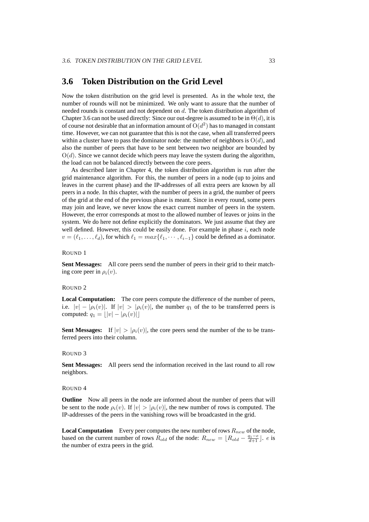### **3.6 Token Distribution on the Grid Level**

Now the token distribution on the grid level is presented. As in the whole text, the number of rounds will not be minimized. We only want to assure that the number of needed rounds is constant and not dependent on d. The token distribution algorithm of Chapter 3.6 can not be used directly: Since our out-degree is assumed to be in  $\Theta(d)$ , it is of course not desirable that an information amount of  $O(d^2)$  has to managed in constant time. However, we can not guarantee that this is not the case, when all transferred peers within a cluster have to pass the dominator node: the number of neighbors is  $O(d)$ , and also the number of peers that have to be sent between two neighbor are bounded by  $O(d)$ . Since we cannot decide which peers may leave the system during the algorithm, the load can not be balanced directly between the core peers.

As described later in Chapter 4, the token distribution algorithm is run after the grid maintenance algorithm. For this, the number of peers in a node (up to joins and leaves in the current phase) and the IP-addresses of all extra peers are known by all peers in a node. In this chapter, with the number of peers in a grid, the number of peers of the grid at the end of the previous phase is meant. Since in every round, some peers may join and leave, we never know the exact current number of peers in the system. However, the error corresponds at most to the allowed number of leaves or joins in the system. We do here not define explicitly the dominators. We just assume that they are well defined. However, this could be easily done. For example in phase  $i$ , each node  $v = (\ell_1, \ldots, \ell_d)$ , for which  $\ell_1 = max{\{\ell_1, \cdots, \ell_{i-1}\}}$  could be defined as a dominator.

#### ROUND 1

**Sent Messages:** All core peers send the number of peers in their grid to their matching core peer in  $\rho_i(v)$ .

#### ROUND 2

**Local Computation:** The core peers compute the difference of the number of peers, i.e.  $|v| - |\rho_i(v)|$ . If  $|v| > |\rho_i(v)|$ , the number  $q_1$  of the to be transferred peers is computed:  $q_1 = ||v| - |\rho_i(v)||$ 

**Sent Messages:** If  $|v| > |\rho_i(v)|$ , the core peers send the number of the to be transferred peers into their column.

#### ROUND 3

**Sent Messages:** All peers send the information received in the last round to all row neighbors.

#### ROUND 4

**Outline** Now all peers in the node are informed about the number of peers that will be sent to the node  $\rho_i(v)$ . If  $|v| > |\rho_i(v)|$ , the new number of rows is computed. The IP-addresses of the peers in the vanishing rows will be broadcasted in the grid.

**Local Computation** Every peer computes the new number of rows  $R_{new}$  of the node, based on the current number of rows  $R_{old}$  of the node:  $R_{new} = \lfloor R_{old} - \frac{q_1 - e}{d + 1} \rfloor$ . e is the number of extra peers in the grid.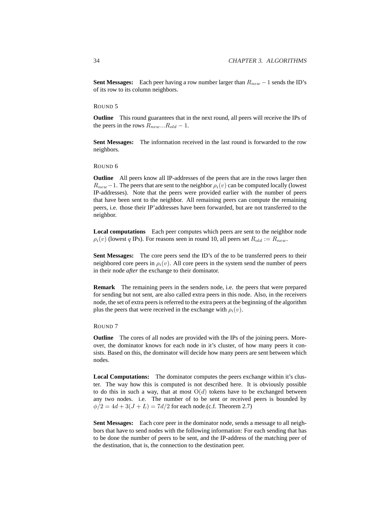**Sent Messages:** Each peer having a row number larger than  $R_{new} - 1$  sends the ID's of its row to its column neighbors.

ROUND 5

**Outline** This round guarantees that in the next round, all peers will receive the IPs of the peers in the rows  $R_{new}...R_{old} - 1$ .

**Sent Messages:** The information received in the last round is forwarded to the row neighbors.

ROUND 6

**Outline** All peers know all IP-addresses of the peers that are in the rows larger then  $R_{new}$  – 1. The peers that are sent to the neighbor  $\rho_i(v)$  can be computed locally (lowest IP-addresses). Note that the peers were provided earlier with the number of peers that have been sent to the neighbor. All remaining peers can compute the remaining peers, i.e. those their IP'addresses have been forwarded, but are not transferred to the neighbor.

**Local computations** Each peer computes which peers are sent to the neighbor node  $\rho_i(v)$  (lowest q IPs). For reasons seen in round 10, all peers set  $R_{old} := R_{new}$ .

**Sent Messages:** The core peers send the ID's of the to be transferred peers to their neighbored core peers in  $\rho_i(v)$ . All core peers in the system send the number of peers in their node *after* the exchange to their dominator.

**Remark** The remaining peers in the senders node, i.e. the peers that were prepared for sending but not sent, are also called extra peers in this node. Also, in the receivers node, the set of extra peers is referred to the extra peers at the beginning of the algorithm plus the peers that were received in the exchange with  $\rho_i(v)$ .

#### ROUND 7

**Outline** The cores of all nodes are provided with the IPs of the joining peers. Moreover, the dominator knows for each node in it's cluster, of how many peers it consists. Based on this, the dominator will decide how many peers are sent between which nodes.

**Local Computations:** The dominator computes the peers exchange within it's cluster. The way how this is computed is not described here. It is obviously possible to do this in such a way, that at most  $O(d)$  tokens have to be exchanged between any two nodes. i.e. The number of to be sent or received peers is bounded by  $\phi/2 = 4d + 3(J + L) = 7d/2$  for each node.(c.f. Theorem 2.7)

**Sent Messages:** Each core peer in the dominator node, sends a message to all neighbors that have to send nodes with the following information: For each sending that has to be done the number of peers to be sent, and the IP-address of the matching peer of the destination, that is, the connection to the destination peer.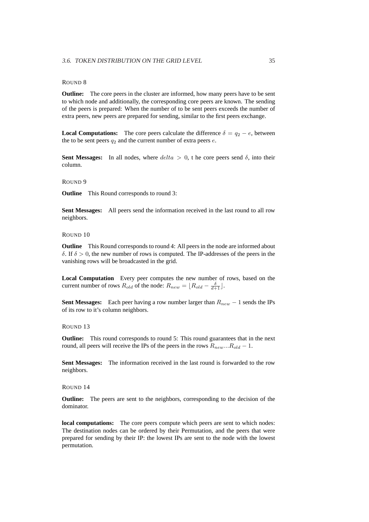#### ROUND 8

**Outline:** The core peers in the cluster are informed, how many peers have to be sent to which node and additionally, the corresponding core peers are known. The sending of the peers is prepared: When the number of to be sent peers exceeds the number of extra peers, new peers are prepared for sending, similar to the first peers exchange.

**Local Computations:** The core peers calculate the difference  $\delta = q_2 - e$ , between the to be sent peers  $q_2$  and the current number of extra peers  $e$ .

**Sent Messages:** In all nodes, where  $delta > 0$ , t he core peers send  $\delta$ , into their column.

#### ROUND 9

**Outline** This Round corresponds to round 3:

**Sent Messages:** All peers send the information received in the last round to all row neighbors.

#### ROUND 10

**Outline** This Round corresponds to round 4: All peers in the node are informed about δ. If δ > 0, the new number of rows is computed. The IP-addresses of the peers in the vanishing rows will be broadcasted in the grid.

**Local Computation** Every peer computes the new number of rows, based on the current number of rows  $R_{old}$  of the node:  $R_{new} = \lfloor R_{old} - \frac{\delta}{d+1} \rfloor$ .

**Sent Messages:** Each peer having a row number larger than  $R_{new} - 1$  sends the IPs of its row to it's column neighbors.

#### ROUND 13

**Outline:** This round corresponds to round 5: This round guarantees that in the next round, all peers will receive the IPs of the peers in the rows  $R_{new}...R_{old} - 1$ .

**Sent Messages:** The information received in the last round is forwarded to the row neighbors.

#### ROUND 14

**Outline:** The peers are sent to the neighbors, corresponding to the decision of the dominator.

**local computations:** The core peers compute which peers are sent to which nodes: The destination nodes can be ordered by their Permutation, and the peers that were prepared for sending by their IP: the lowest IPs are sent to the node with the lowest permutation.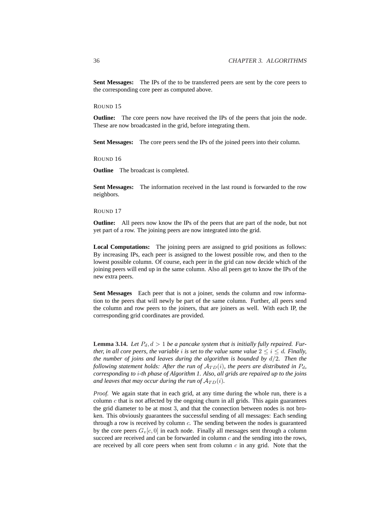**Sent Messages:** The IPs of the to be transferred peers are sent by the core peers to the corresponding core peer as computed above.

ROUND 15

**Outline:** The core peers now have received the IPs of the peers that join the node. These are now broadcasted in the grid, before integrating them.

**Sent Messages:** The core peers send the IPs of the joined peers into their column.

ROUND 16

**Outline** The broadcast is completed.

**Sent Messages:** The information received in the last round is forwarded to the row neighbors.

#### ROUND 17

**Outline:** All peers now know the IPs of the peers that are part of the node, but not yet part of a row. The joining peers are now integrated into the grid.

**Local Computations:** The joining peers are assigned to grid positions as follows: By increasing IPs, each peer is assigned to the lowest possible row, and then to the lowest possible column. Of course, each peer in the grid can now decide which of the joining peers will end up in the same column. Also all peers get to know the IPs of the new extra peers.

**Sent Messages** Each peer that is not a joiner, sends the column and row information to the peers that will newly be part of the same column. Further, all peers send the column and row peers to the joiners, that are joiners as well. With each IP, the corresponding grid coordinates are provided.

**Lemma 3.14.** Let  $P_d$ ,  $d > 1$  be a pancake system that is initially fully repaired. Fur*ther, in all core peers, the variable i is set to the value same value*  $2 \le i \le d$ *. Finally, the number of joins and leaves during the algorithm is bounded by* d/2*. Then the following statement holds: After the run of*  $A_{TD}(i)$ *, the peers are distributed in*  $P_d$ *, corresponding to* i*-th phase of Algorithm 1. Also, all grids are repaired up to the joins and leaves that may occur during the run of*  $A_{TD}(i)$ *.* 

*Proof.* We again state that in each grid, at any time during the whole run, there is a column  $c$  that is not affected by the ongoing churn in all grids. This again guarantees the grid diameter to be at most 3, and that the connection between nodes is not broken. This obviously guarantees the successful sending of all messages: Each sending through a row is received by column  $c$ . The sending between the nodes is guaranteed by the core peers  $G_v[c, 0]$  in each node. Finally all messages sent through a column succeed are received and can be forwarded in column  $c$  and the sending into the rows, are received by all core peers when sent from column  $c$  in any grid. Note that the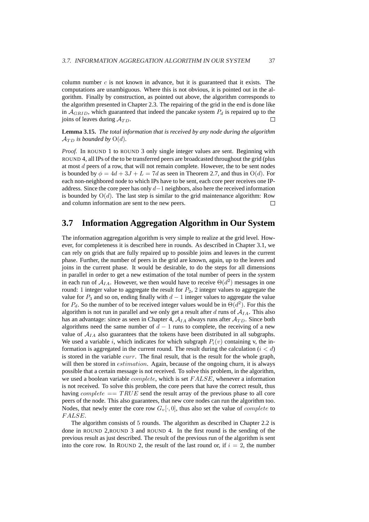column number  $c$  is not known in advance, but it is guaranteed that it exists. The computations are unambiguous. Where this is not obvious, it is pointed out in the algorithm. Finally by construction, as pointed out above, the algorithm corresponds to the algorithm presented in Chapter 2.3. The repairing of the grid in the end is done like in  $A_{GRID}$ , which guaranteed that indeed the pancake system  $P_d$  is repaired up to the joins of leaves during  $A_{TD}$ .  $\Box$ 

**Lemma 3.15.** *The total information that is received by any node during the algorithm*  $\mathcal{A}_{TD}$  *is bounded by*  $O(d)$ *.* 

*Proof.* In ROUND 1 to ROUND 3 only single integer values are sent. Beginning with ROUND 4, all IPs of the to be transferred peers are broadcasted throughout the grid (plus at most d peers of a row, that will not remain complete. However, the to be sent nodes is bounded by  $\phi = 4d + 3J + L = 7d$  as seen in Theorem 2.7, and thus in  $O(d)$ . For each non-neighbored node to which IPs have to be sent, each core peer receives one IPaddress. Since the core peer has only d−1 neighbors, also here the received information is bounded by  $O(d)$ . The last step is similar to the grid maintenance algorithm: Row and column information are sent to the new peers.  $\Box$ 

## **3.7 Information Aggregation Algorithm in Our System**

The information aggregation algorithm is very simple to realize at the grid level. However, for completeness it is described here in rounds. As described in Chapter 3.1, we can rely on grids that are fully repaired up to possible joins and leaves in the current phase. Further, the number of peers in the grid are known, again, up to the leaves and joins in the current phase. It would be desirable, to do the steps for all dimensions in parallel in order to get a new estimation of the total number of peers in the system in each run of  $A_{IA}$ . However, we then would have to receive  $\Theta(d^2)$  messages in one round: 1 integer value to aggregate the result for  $P_2$ , 2 integer values to aggregate the value for  $P_3$  and so on, ending finally with  $d-1$  integer values to aggregate the value for  $P_d$ . So the number of to be received integer values would be in  $\Theta(d^2)$ . For this the algorithm is not run in parallel and we only get a result after  $d$  runs of  $A_{IA}$ . This also has an advantage: since as seen in Chapter 4,  $A_{IA}$  always runs after  $A_{TD}$ . Since both algorithms need the same number of  $d - 1$  runs to complete, the receiving of a new value of  $A_{IA}$  also guarantees that the tokens have been distributed in all subgraphs. We used a variable i, which indicates for which subgraph  $P_i(v)$  containing v, the information is aggregated in the current round. The result during the calculation  $(i < d)$ is stored in the variable *curr*. The final result, that is the result for the whole graph, will then be stored in *estimation*. Again, because of the ongoing churn, it is always possible that a certain message is not received. To solve this problem, in the algorithm, we used a boolean variable *complete*, which is set  $FALSE$ , whenever a information is not received. To solve this problem, the core peers that have the correct result, thus having *complete*  $= T R U E$  send the result array of the previous phase to all core peers of the node. This also guarantees, that new core nodes can run the algorithm too. Nodes, that newly enter the core row  $G_v[\cdot, 0]$ , thus also set the value of *complete* to F ALSE.

The algorithm consists of 5 rounds. The algorithm as described in Chapter 2.2 is done in ROUND 2,ROUND 3 and ROUND 4. In the first round is the sending of the previous result as just described. The result of the previous run of the algorithm is sent into the core row. In ROUND 2, the result of the last round or, if  $i = 2$ , the number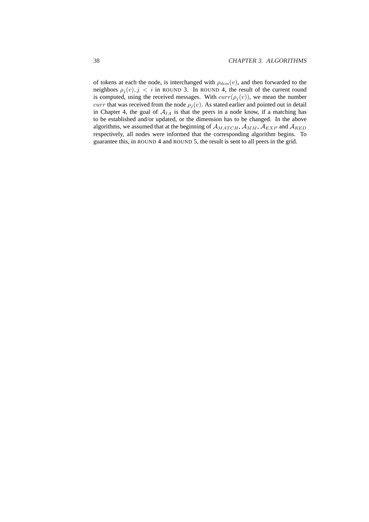of tokens at each the node, is interchanged with  $\rho_{dim}(v)$ , and then forwarded to the neighbors  $\rho_i(v)$ ,  $j < i$  in ROUND 3. In ROUND 4, the result of the current round is computed, using the received messages. With  $curr(\rho_j(v))$ , we mean the number *curr* that was received from the node  $\rho_j(v)$ . As stated earlier and pointed out in detail in Chapter 4, the goal of  $A_{IA}$  is that the peers in a node know, if a matching has to be established and/or updated, or the dimension has to be changed. In the above algorithms, we assumed that at the beginning of  $A_{MATCH}$ ,  $A_{MM}$ ,  $A_{EXP}$  and  $A_{RED}$ respectively, all nodes were informed that the corresponding algorithm begins. To guarantee this, in ROUND 4 and ROUND 5, the result is sent to all peers in the grid.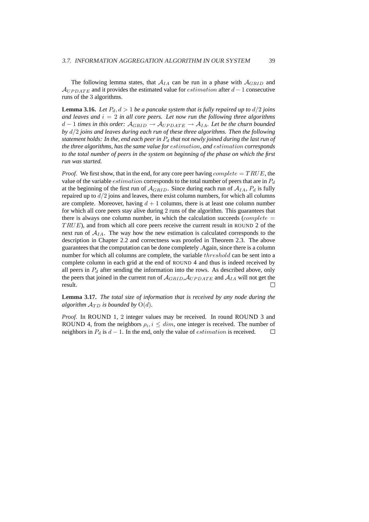The following lemma states, that  $A_{IA}$  can be run in a phase with  $A_{GRID}$  and  $A_{UPDATA}$  and it provides the estimated value for *estimation* after  $d-1$  consecutive runs of the 3 algorithms.

**Lemma 3.16.** *Let*  $P_d$ ,  $d > 1$  *be a pancake system that is fully repaired up to*  $d/2$  *joins* and leaves and  $i = 2$  *in all core peers. Let now run the following three algorithms*  $d-1$  *times in this order:*  $A_{GRID}$  →  $A_{UPDATE}$  →  $A_{IA}$ . Let be the churn bounded *by* d/2 *joins and leaves during each run of these three algorithms. Then the following statement holds: In the, end each peer in*  $P_d$  *that not newly joined during the last run of the three algorithms, has the same value for* estimation*, and* estimation *corresponds to the total number of peers in the system on beginning of the phase on which the first run was started.*

*Proof.* We first show, that in the end, for any core peer having *complete*  $= TRUE$ , the value of the variable *estimation* corresponds to the total number of peers that are in  $P_d$ at the beginning of the first run of  $A_{GRID}$ . Since during each run of  $A_{IA}$ ,  $P_d$  is fully repaired up to  $d/2$  joins and leaves, there exist column numbers, for which all columns are complete. Moreover, having  $d + 1$  columns, there is at least one column number for which all core peers stay alive during 2 runs of the algorithm. This guarantees that there is always one column number, in which the calculation succeeds (*complete*  $=$ TRUE), and from which all core peers receive the current result in ROUND 2 of the next run of  $A_{IA}$ . The way how the new estimation is calculated corresponds to the description in Chapter 2.2 and correctness was proofed in Theorem 2.3. The above guarantees that the computation can be done completely .Again, since there is a column number for which all columns are complete, the variable threshold can be sent into a complete column in each grid at the end of ROUND 4 and thus is indeed received by all peers in  $P_d$  after sending the information into the rows. As described above, only the peers that joined in the current run of  $A_{GRID}$ ,  $A_{UPDATE}$  and  $A_{IA}$  will not get the result.

**Lemma 3.17.** *The total size of information that is received by any node during the algorithm*  $A_{TD}$  *is bounded by*  $O(d)$ *.* 

*Proof.* In ROUND 1, 2 integer values may be received. In round ROUND 3 and ROUND 4, from the neighbors  $\rho_i, i \leq dim$ , one integer is received. The number of neighbors in  $P_d$  is  $d-1$ . In the end, only the value of *estimation* is received.  $\overline{\phantom{a}}$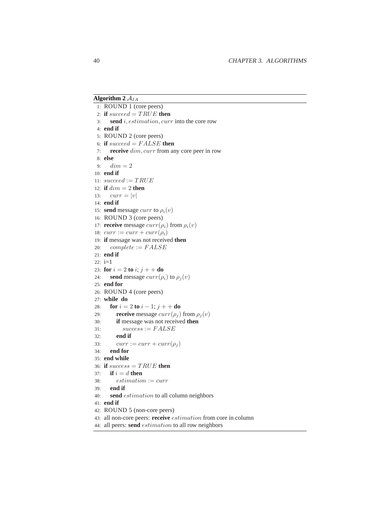### **Algorithm 2**  $A_{IA}$

1: ROUND 1 (core peers) 2: **if**  $succeed = TRUE$  **then** 3: **send** i, estimation, curr into the core row 4: **end if** 5: ROUND 2 (core peers) 6: **if** succeed = F ALSE **then** 7: **receive** dim, curr from any core peer in row 8: **else** 9:  $dim = 2$ 10: **end if** 11:  $succeed := TRUE$ 12: **if**  $dim = 2$  **then** 13:  $curr = |v|$ 14: **end if** 15: **send** message *curr* to  $\rho_i(v)$ 16: ROUND 3 (core peers) 17: **receive** message  $curr(\rho_i)$  from  $\rho_i(v)$ 18:  $curr := curr + curr(\rho_i)$ 19: **if** message was not received **then** 20:  $complete := FALSE$ 21: **end if** 22: i=1 23: **for**  $i = 2$  **to**  $i$ ;  $j + +$  **do** 24: **send** message  $curr(\rho_i)$  to  $\rho_j(v)$ 25: **end for** 26: ROUND 4 (core peers) 27: **while do** 28: **for**  $i = 2$  **to**  $i - 1$ ;  $j + +$  **do** 29: **receive** message  $curr(\rho_i)$  from  $\rho_i(v)$ 30: **if** message was not received **then** 31:  $success := FALSE$ 32: **end if** 33:  $curr := curr + curr(\rho_i)$ 34: **end for** 35: **end while** 36: **if**  $success = TRUE$  **then** 37: **if**  $i = d$  **then**  $38:$  estimation := curr 39: **end if** 40: **send** estimation to all column neighbors 41: **end if** 42: ROUND 5 (non-core peers) 43: all non-core peers: **receive** estimation from core in column 44: all peers: **send** estimation to all row neighbors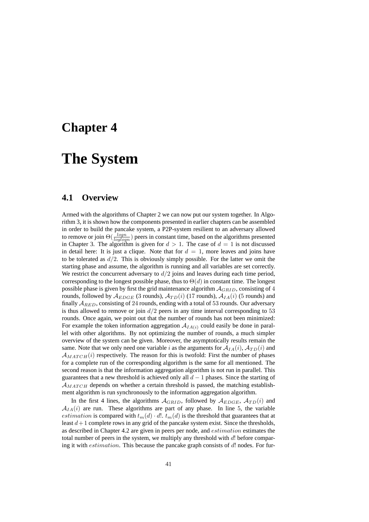## **Chapter 4**

## **The System**

## **4.1 Overview**

Armed with the algorithms of Chapter 2 we can now put our system together. In Algorithm 3, it is shown how the components presented in earlier chapters can be assembled in order to build the pancake system, a P2P-system resilient to an adversary allowed to remove or join  $\Theta(\frac{logn}{loglogn})$  peers in constant time, based on the algorithms presented in Chapter 3. The algorithm is given for  $d > 1$ . The case of  $d = 1$  is not discussed in detail here: It is just a clique. Note that for  $d = 1$ , more leaves and joins have to be tolerated as  $d/2$ . This is obviously simply possible. For the latter we omit the starting phase and assume, the algorithm is running and all variables are set correctly. We restrict the concurrent adversary to  $d/2$  joins and leaves during each time period, corresponding to the longest possible phase, thus to  $\Theta(d)$  in constant time. The longest possible phase is given by first the grid maintenance algorithm  $A_{GRID}$ , consisting of 4 rounds, followed by  $\mathcal{A}_{EDGE}$  (3 rounds),  $\mathcal{A}_{TD}(i)$  (17 rounds),  $\mathcal{A}_{IA}(i)$  (5 rounds) and finally  $A_{RED}$ , consisting of 24 rounds, ending with a total of 53 rounds. Our adversary is thus allowed to remove or join  $d/2$  peers in any time interval corresponding to 53 rounds. Once again, we point out that the number of rounds has not been minimized: For example the token information aggregation  $A_{IA(i)}$  could easily be done in parallel with other algorithms. By not optimizing the number of rounds, a much simpler overview of the system can be given. Moreover, the asymptotically results remain the same. Note that we only need one variable i as the arguments for  $A_{IA}(i)$ ,  $A_{TD}(i)$  and  $A_{MATCH}(i)$  respectively. The reason for this is twofold: First the number of phases for a complete run of the corresponding algorithm is the same for all mentioned. The second reason is that the information aggregation algorithm is not run in parallel. This guarantees that a new threshold is achieved only all  $d - 1$  phases. Since the starting of  $A_{MATCH}$  depends on whether a certain threshold is passed, the matching establishment algorithm is run synchronously to the information aggregation algorithm.

In the first 4 lines, the algorithms  $A_{GRID}$ , followed by  $A_{EDGE}$ ,  $A_{TD}(i)$  and  $A_{IA}(i)$  are run. These algorithms are part of any phase. In line 5, the variable estimation is compared with  $t_m(d) \cdot d!$ .  $t_m(d)$  is the threshold that guarantees that at least  $d+1$  complete rows in any grid of the pancake system exist. Since the thresholds, as described in Chapter 4.2 are given in peers per node, and estimation estimates the total number of peers in the system, we multiply any threshold with  $d!$  before comparing it with *estimation*. This because the pancake graph consists of  $d!$  nodes. For fur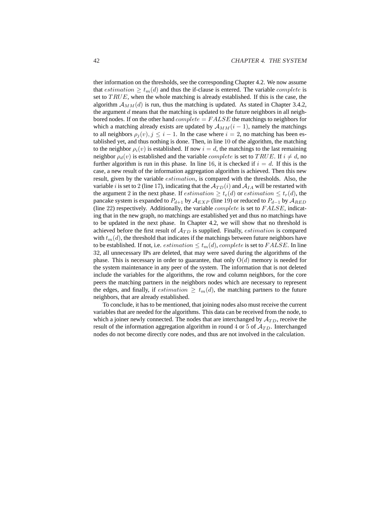ther information on the thresholds, see the corresponding Chapter 4.2. We now assume that estimation  $\geq t_m(d)$  and thus the if-clause is entered. The variable *complete* is set to  $TRUE$ , when the whole matching is already established. If this is the case, the algorithm  $A_{MM}(d)$  is run, thus the matching is updated. As stated in Chapter 3.4.2, the argument  $d$  means that the matching is updated to the future neighbors in all neighbored nodes. If on the other hand  $complete = FALSE$  the matchings to neighbors for which a matching already exists are updated by  $A_{MM}(i-1)$ , namely the matchings to all neighbors  $\rho_i(v)$ ,  $j \leq i - 1$ . In the case where  $i = 2$ , no matching has been established yet, and thus nothing is done. Then, in line 10 of the algorithm, the matching to the neighbor  $\rho_i(v)$  is established. If now  $i = d$ , the matchings to the last remaining neighbor  $\rho_d(v)$  is established and the variable *complete* is set to TRUE. If  $i \neq d$ , no further algorithm is run in this phase. In line 16, it is checked if  $i = d$ . If this is the case, a new result of the information aggregation algorithm is achieved. Then this new result, given by the variable estimation, is compared with the thresholds. Also, the variable i is set to 2 (line 17), indicating that the  $A_{TD}(i)$  and  $A_{IA}$  will be restarted with the argument 2 in the next phase. If *estimation*  $\geq t_e(d)$  or *estimation*  $\leq t_r(d)$ , the pancake system is expanded to  $P_{d+1}$  by  $\mathcal{A}_{EXP}$  (line 19) or reduced to  $P_{d-1}$  by  $\mathcal{A}_{RED}$ (line 22) respectively. Additionally, the variable  $complete$  is set to  $FALSE$ , indicating that in the new graph, no matchings are established yet and thus no matchings have to be updated in the next phase. In Chapter 4.2, we will show that no threshold is achieved before the first result of  $A_{TD}$  is supplied. Finally, *estimation* is compared with  $t_m(d)$ , the threshold that indicates if the matchings between future neighbors have to be established. If not, i.e. *estimation*  $\leq t_m(d)$ , *complete* is set to *FALSE*. In line 32, all unnecessary IPs are deleted, that may were saved during the algorithms of the phase. This is necessary in order to guarantee, that only  $O(d)$  memory is needed for the system maintenance in any peer of the system. The information that is not deleted include the variables for the algorithms, the row and column neighbors, for the core peers the matching partners in the neighbors nodes which are necessary to represent the edges, and finally, if *estimation*  $\geq t_m(d)$ , the matching partners to the future neighbors, that are already established.

To conclude, it has to be mentioned, that joining nodes also must receive the current variables that are needed for the algorithms. This data can be received from the node, to which a joiner newly connected. The nodes that are interchanged by  $A_{TD}$ , receive the result of the information aggregation algorithm in round 4 or 5 of  $A_{TD}$ . Interchanged nodes do not become directly core nodes, and thus are not involved in the calculation.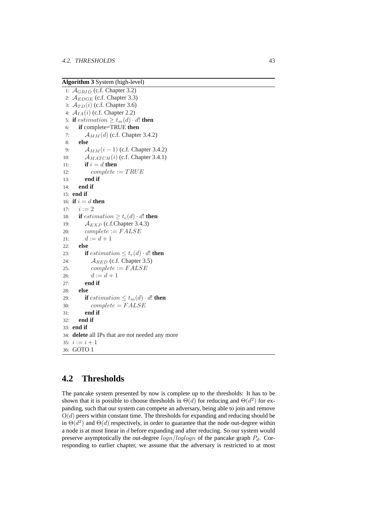**Algorithm 3** System (high-level)

```
1: A_{GRID} (c.f. Chapter 3.2)
2: A_{EDGE} (c.f. Chapter 3.3)
3: \mathcal{A}_{TD}(i) (c.f. Chapter 3.6)
4: \mathcal{A}_{IA}(i) (c.f. Chapter 2.2)
5: if estimation \geq t_m(d) \cdot d! then
6: if complete=TRUE then
7: \mathcal{A}_{MM}(d) (c.f. Chapter 3.4.2)
8: else
9: A_{MM}(i-1) (c.f. Chapter 3.4.2)
10: \mathcal{A}_{MATCH}(i) (c.f. Chapter 3.4.1)
11: if i = d then
12: complete := TRUE13: end if
14: end if
15: end if
16: if i = d then
17: i := 218: if estimation \geq t_e(d) \cdot d! then
19: A_{EXP} (c.f.Chapter 3.4.3)
20: complete := FALSE21: d := d + 122: else
23: if estimation \leq t_r(d) \cdot d! then
24: A_{RED} (c.f. Chapter 3.5)
25: complete := FALSE26: d := d + 127: end if
28: else
29: if estimation \leq t_m(d) \cdot d! then
30: complete = FALSE31: end if
32: end if
33: end if
34: delete all IPs that are not needed any more
35: i := i + 136: GOTO 1
```
## **4.2 Thresholds**

The pancake system presented by now is complete up to the thresholds: It has to be shown that it is possible to choose thresholds in  $\Theta(d)$  for reducing and  $\Theta(d^2)$  for expanding, such that our system can compete an adversary, being able to join and remove  $O(d)$  peers within constant time. The thresholds for expanding and reducing should be in  $\Theta(d^2)$  and  $\Theta(d)$  respectively, in order to guarantee that the node out-degree within a node is at most linear in d before expanding and after reducing. So our system would preserve asymptotically the out-degree  $\log n / \log \log n$  of the pancake graph  $P_d$ . Corresponding to earlier chapter, we assume that the adversary is restricted to at most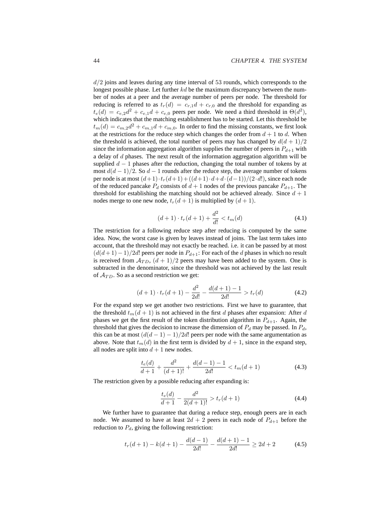$d/2$  joins and leaves during any time interval of 53 rounds, which corresponds to the longest possible phase. Let further  $kd$  be the maximum discrepancy between the number of nodes at a peer and the average number of peers per node. The threshold for reducing is referred to as  $t_r(d) = c_{r,1}d + c_{r,0}$  and the threshold for expanding as  $t_e(d) = c_{e,2}d^2 + c_{e,1}d + c_{e,0}$  peers per node. We need a third threshold in  $\Theta(d^2)$ , which indicates that the matching establishment has to be started. Let this threshold be  $t_m(d) = c_{m,2}d^2 + c_{m,1}d + c_{m,0}$ . In order to find the missing constants, we first look at the restrictions for the reduce step which changes the order from  $d + 1$  to d. When the threshold is achieved, the total number of peers may has changed by  $d(d + 1)/2$ since the information aggregation algorithm supplies the number of peers in  $P_{d+1}$  with a delay of d phases. The next result of the information aggregation algorithm will be supplied  $d-1$  phases after the reduction, changing the total number of tokens by at most  $d(d-1)/2$ . So  $d-1$  rounds after the reduce step, the average number of tokens per node is at most  $(d+1)\cdot t_r(d+1) + ((d+1)\cdot d+d\cdot(d-1))/(2\cdot d!)$ , since each node of the reduced pancake  $P_d$  consists of  $d + 1$  nodes of the previous pancake  $P_{d+1}$ . The threshold for establishing the matching should not be achieved already. Since  $d + 1$ nodes merge to one new node,  $t_r(d + 1)$  is multiplied by  $(d + 1)$ .

$$
(d+1) \cdot t_r(d+1) + \frac{d^2}{d!} < t_m(d) \tag{4.1}
$$

The restriction for a following reduce step after reducing is computed by the same idea. Now, the worst case is given by leaves instead of joins. The last term takes into account, that the threshold may not exactly be reached. i.e. it can be passed by at most  $(d(d+1)-1)/2d!$  peers per node in  $P_{d+1}$ : For each of the d phases in which no result is received from  $A_{TD}$ ,  $(d + 1)/2$  peers may have been added to the system. One is subtracted in the denominator, since the threshold was not achieved by the last result of  $A_{TD}$ . So as a second restriction we get:

$$
(d+1)\cdot t_r(d+1) - \frac{d^2}{2d!} - \frac{d(d+1) - 1}{2d!} > t_r(d) \tag{4.2}
$$

For the expand step we get another two restrictions. First we have to guarantee, that the threshold  $t_m(d + 1)$  is not achieved in the first d phases after expansion: After d phases we get the first result of the token distribution algorithm in  $P_{d+1}$ . Again, the threshold that gives the decision to increase the dimension of  $P_d$  may be passed. In  $P_d$ , this can be at most  $(d(d - 1) - 1)/2d!$  peers per node with the same argumentation as above. Note that  $t_m(d)$  in the first term is divided by  $d + 1$ , since in the expand step, all nodes are split into  $d + 1$  new nodes.

$$
\frac{t_e(d)}{d+1} + \frac{d^2}{(d+1)!} + \frac{d(d-1)-1}{2d!} < t_m(d+1) \tag{4.3}
$$

The restriction given by a possible reducing after expanding is:

$$
\frac{t_e(d)}{d+1} - \frac{d^2}{2(d+1)!} > t_r(d+1)
$$
\n(4.4)

We further have to guarantee that during a reduce step, enough peers are in each node. We assumed to have at least  $2d + 2$  peers in each node of  $P_{d+1}$  before the reduction to  $P_d$ , giving the following restriction:

$$
t_r(d+1) - k(d+1) - \frac{d(d-1)}{2d!} - \frac{d(d+1) - 1}{2d!} \ge 2d + 2
$$
 (4.5)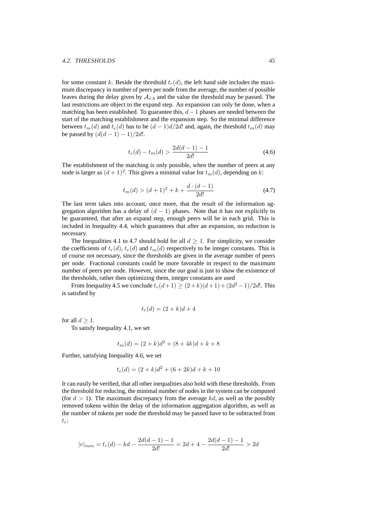#### 4.2. THRESHOLDS 45

for some constant k. Beside the threshold  $t_r(d)$ , the left hand side includes the maximum discrepancy in number of peers per node from the average, the number of possible leaves during the delay given by  $A_{IA}$  and the value the threshold may be passed. The last restrictions are object to the expand step. An expansion can only be done, when a matching has been established. To guarantee this,  $d-1$  phases are needed between the start of the matching establishment and the expansion step. So the minimal difference between  $t_m(d)$  and  $t_e(d)$  has to be  $(d-1)d/2d!$  and, again, the threshold  $t_m(d)$  may be passed by  $(d(d-1) - 1)/2d!$ .

$$
t_e(d) - t_m(d) > \frac{2d(d-1) - 1}{2d!}
$$
\n(4.6)

The establishment of the matching is only possible, when the number of peers at any node is larger as  $(d+1)^2$ . This gives a minimal value for  $t_m(d)$ , depending on k:

$$
t_m(d) > (d+1)^2 + k + \frac{d \cdot (d-1)}{2d!} \tag{4.7}
$$

The last term takes into account, once more, that the result of the information aggregation algorithm has a delay of  $(d - 1)$  phases. Note that it has not explicitly to be guaranteed, that after an expand step, enough peers will be in each grid. This is included in Inequality 4.4, which guarantees that after an expansion, no reduction is necessary.

The Inequalities 4.1 to 4.7 should hold for all  $d \geq 1$ . For simplicity, we consider the coefficients of  $t_r(d)$ ,  $t_e(d)$  and  $t_m(d)$  respectively to be integer constants. This is of course not necessary, since the thresholds are given in the average number of peers per node. Fractional constants could be more favorable in respect to the maximum number of peers per node. However, since the our goal is just to show the existence of the thresholds, rather then optimizing them, integer constants are used

From Inequality 4.5 we conclude  $t_r(d+1) \ge (2+k)(d+1) + (2d^2 - 1)/2d!$ . This is satisfied by

$$
t_r(d) = (2+k)d+4
$$

for all  $d > 1$ .

To satisfy Inequality 4.1, we set

$$
t_m(d) = (2 + k)d^2 + (8 + 4k)d + k + 8
$$

Further, satisfying Inequality 4.6, we set

$$
t_e(d) = (2 + k)d^2 + (6 + 2k)d + k + 10
$$

It can easily be verified, that all other inequalities also hold with these thresholds. From the threshold for reducing, the minimal number of nodes in the system can be computed (for  $d > 1$ ). The maximum discrepancy from the average kd, as well as the possibly removed tokens within the delay of the information aggregation algorithm, as well as the number of tokens per node the threshold may be passed have to be subtracted from  $t_r$ :

$$
|v|_{min} = t_r(d) - kd - \frac{2d(d-1) - 1}{2d!} = 2d + 4 - \frac{2d(d-1) - 1}{2d!} > 2d
$$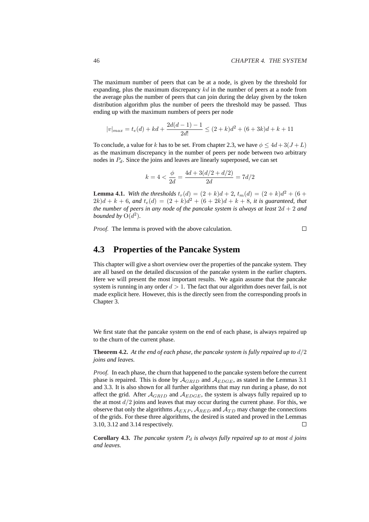The maximum number of peers that can be at a node, is given by the threshold for expanding, plus the maximum discrepancy  $kd$  in the number of peers at a node from the average plus the number of peers that can join during the delay given by the token distribution algorithm plus the number of peers the threshold may be passed. Thus ending up with the maximum numbers of peers per node

$$
|v|_{max} = t_e(d) + kd + \frac{2d(d-1) - 1}{2d!} \le (2 + k)d^2 + (6 + 3k)d + k + 11
$$

To conclude, a value for k has to be set. From chapter 2.3, we have  $\phi \leq 4d + 3(J + L)$ as the maximum discrepancy in the number of peers per node between two arbitrary nodes in  $P<sub>d</sub>$ . Since the joins and leaves are linearly superposed, we can set

$$
k = 4 < \frac{\phi}{2d} = \frac{4d + 3(d/2 + d/2)}{2d} = 7d/2
$$

**Lemma 4.1.** *With the thresholds*  $t_r(d) = (2 + k)d + 2$ ,  $t_m(d) = (2 + k)d^2 + (6 + k)$  $(2k)d + k + 6$ *, and*  $t_e(d) = (2 + k)d^2 + (6 + 2k)d + k + 8$ *, it is guaranteed, that the number of peers in any node of the pancake system is always at least*  $2d + 2$  *and bounded by*  $O(d^2)$ *.* 

*Proof.* The lemma is proved with the above calculation.

 $\Box$ 

### **4.3 Properties of the Pancake System**

This chapter will give a short overview over the properties of the pancake system. They are all based on the detailed discussion of the pancake system in the earlier chapters. Here we will present the most important results. We again assume that the pancake system is running in any order  $d > 1$ . The fact that our algorithm does never fail, is not made explicit here. However, this is the directly seen from the corresponding proofs in Chapter 3.

We first state that the pancake system on the end of each phase, is always repaired up to the churn of the current phase.

**Theorem 4.2.** *At the end of each phase, the pancake system is fully repaired up to* d/2 *joins and leaves.*

*Proof.* In each phase, the churn that happened to the pancake system before the current phase is repaired. This is done by  $A_{GRID}$  and  $A_{EDGE}$ , as stated in the Lemmas 3.1 and 3.3. It is also shown for all further algorithms that may run during a phase, do not affect the grid. After  $A_{GRID}$  and  $A_{EDGE}$ , the system is always fully repaired up to the at most  $d/2$  joins and leaves that may occur during the current phase. For this, we observe that only the algorithms  $A_{EXP}$ ,  $A_{RED}$  and  $A_{TD}$  may change the connections of the grids. For these three algorithms, the desired is stated and proved in the Lemmas 3.10, 3.12 and 3.14 respectively.  $\Box$ 

**Corollary 4.3.** *The pancake system*  $P_d$  *is always fully repaired up to at most d joins and leaves.*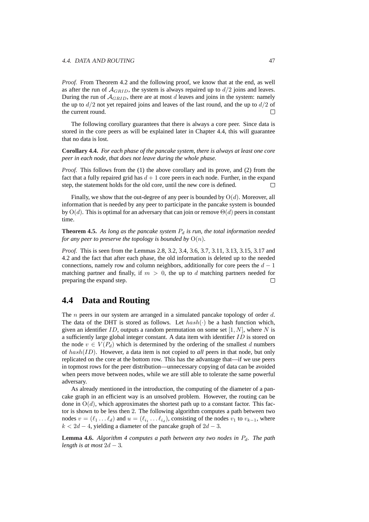*Proof.* From Theorem 4.2 and the following proof, we know that at the end, as well as after the run of  $A_{GRID}$ , the system is always repaired up to  $d/2$  joins and leaves. During the run of  $A_{GRID}$ , there are at most d leaves and joins in the system: namely the up to  $d/2$  not yet repaired joins and leaves of the last round, and the up to  $d/2$  of the current round.  $\Box$ 

The following corollary guarantees that there is always a core peer. Since data is stored in the core peers as will be explained later in Chapter 4.4, this will guarantee that no data is lost.

**Corollary 4.4.** *For each phase of the pancake system, there is always at least one core peer in each node, that does not leave during the whole phase.*

*Proof.* This follows from the (1) the above corollary and its prove, and (2) from the fact that a fully repaired grid has  $d + 1$  core peers in each node. Further, in the expand step, the statement holds for the old core, until the new core is defined.  $\Box$ 

Finally, we show that the out-degree of any peer is bounded by  $O(d)$ . Moreover, all information that is needed by any peer to participate in the pancake system is bounded by  $O(d)$ . This is optimal for an adversary that can join or remove  $\Theta(d)$  peers in constant time.

**Theorem 4.5.** As long as the pancake system  $P_d$  is run, the total information needed *for any peer to preserve the topology is bounded by*  $O(n)$ *.* 

*Proof.* This is seen from the Lemmas 2.8, 3.2, 3.4, 3.6, 3.7, 3.11, 3.13, 3.15, 3.17 and 4.2 and the fact that after each phase, the old information is deleted up to the needed connections, namely row and column neighbors, additionally for core peers the  $d - 1$ matching partner and finally, if  $m > 0$ , the up to d matching partners needed for preparing the expand step.  $\Box$ 

### **4.4 Data and Routing**

The  $n$  peers in our system are arranged in a simulated pancake topology of order  $d$ . The data of the DHT is stored as follows. Let  $hash(\cdot)$  be a hash function which, given an identifier ID, outputs a random permutation on some set  $[1, N]$ , where N is a sufficiently large global integer constant. A data item with identifier  $ID$  is stored on the node  $v \in V(P_d)$  which is determined by the ordering of the smallest d numbers of hash(ID). However, a data item is not copied to *all* peers in that node, but only replicated on the core at the bottom row. This has the advantage that—if we use peers in topmost rows for the peer distribution—unnecessary copying of data can be avoided when peers move between nodes, while we are still able to tolerate the same powerful adversary.

As already mentioned in the introduction, the computing of the diameter of a pancake graph in an efficient way is an unsolved problem. However, the routing can be done in  $O(d)$ , which approximates the shortest path up to a constant factor. This factor is shown to be less then 2. The following algorithm computes a path between two nodes  $v = (\ell_1 \dots \ell_d)$  and  $u = (\ell_{i_1} \dots \ell_{i_d})$ , consisting of the nodes  $v_1$  to  $v_{k-1}$ , where  $k < 2d - 4$ , yielding a diameter of the pancake graph of  $2d - 3$ .

**Lemma 4.6.** *Algorithm 4 computes a path between any two nodes in*  $P_d$ . *The path length is at most*  $2d - 3$ .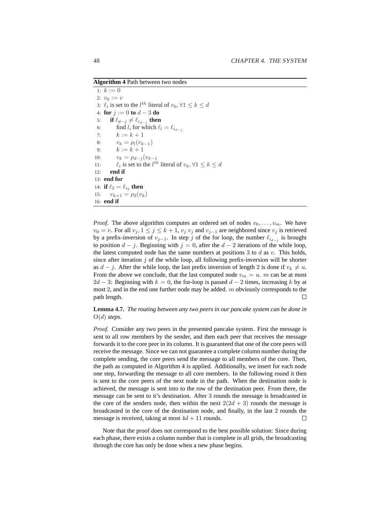**Algorithm 4** Path between two nodes

1:  $k := 0$ 2:  $v_0 := v$ 3:  $\ell_i$  is set to the  $l^{th}$  literal of  $v_0, \forall 1 \leq k \leq d$ 4: **for** j := 0 **to** d − 3 **do** 5: **if**  $\ell_{d-j} \neq \ell_{i_{d-j}}$  then 6: find l, for which  $\ell_l = \ell_{i_{d-j}}$ 7:  $k := k + 1$ 8:  $v_k = \rho_l(v_{k-1})$ 9:  $k := k + 1$ 10:  $v_k = \rho_{d-j}(v_{k-1})$ 11:  $\ell_i$  is set to the  $l^{th}$  literal of  $v_k, \forall 1 \leq k \leq d$ 12: **end if** 13: **end for** 14: **if**  $\ell_2 = \ell_{i_2}$  **then** 15:  $v_{k+1} = \rho_2(v_k)$ 16: **end if**

*Proof.* The above algorithm computes an ordered set of nodes  $v_0, \ldots, v_m$ . We have  $v_0 = v$ . For all  $v_j$ ,  $1 \le j \le k+1$ ,  $v_j$   $v_j$  and  $v_{j-1}$  are neighbored since  $v_j$  is retrieved by a prefix-inversion of  $v_{j-1}$ . In step j of the for loop, the number  $\ell_{i_{d-j}}$  is brought to position  $d - j$ . Beginning with  $j = 0$ , after the  $d - 2$  iterations of the while loop, the latest computed node has the same numbers at positions 3 to  $d$  as  $v$ . This holds, since after iteration  $j$  of the while loop, all following prefix-inversion will be shorter as  $d - j$ . After the while loop, the last prefix inversion of length 2 is done if  $v_k \neq u$ . From the above we conclude, that the last computed node  $v_m = u$ . m can be at most  $2d - 3$ : Beginning with  $k = 0$ , the for-loop is passed  $d - 2$  times, increasing k by at most 2, and in the end one further node may be added.  $m$  obviously corresponds to the path length.  $\Box$ 

**Lemma 4.7.** *The routing between any two peers in our pancake system can be done in* O(d) *steps.*

*Proof.* Consider any two peers in the presented pancake system. First the message is sent to all row members by the sender, and then each peer that receives the message forwards it to the core peer in its column. It is guaranteed that one of the core peers will receive the message. Since we can not guarantee a complete column number during the complete sending, the core peers send the message to all members of the core. Then, the path as computed in Algorithm 4 is applied. Additionally, we insert for each node one step, forwarding the message to all core members. In the following round it then is sent to the core peers of the next node in the path. When the destination node is achieved, the message is sent into to the row of the destination peer. From there, the message can be sent to it's destination. After 3 rounds the message is broadcasted in the core of the senders node, then within the next  $2(2d + 3)$  rounds the message is broadcasted in the core of the destination node, and finally, in the last 2 rounds the message is received, taking at most  $4d + 11$  rounds.  $\Box$ 

Note that the proof does not correspond to the best possible solution: Since during each phase, there exists a column number that is complete in all grids, the broadcasting through the core has only be done when a new phase begins.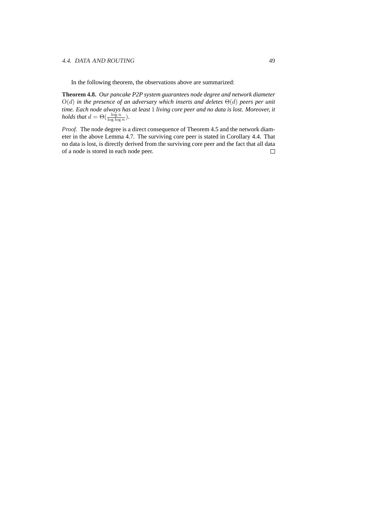#### 4.4. DATA AND ROUTING 49

In the following theorem, the observations above are summarized:

**Theorem 4.8.** *Our pancake P2P system guarantees node degree and network diameter* O(d) *in the presence of an adversary which inserts and deletes* Θ(d) *peers per unit time. Each node always has at least* 1 *living core peer and no data is lost. Moreover, it holds that*  $d = \Theta(\frac{\log n}{\log \log n})$ *.* 

*Proof.* The node degree is a direct consequence of Theorem 4.5 and the network diameter in the above Lemma 4.7. The surviving core peer is stated in Corollary 4.4. That no data is lost, is directly derived from the surviving core peer and the fact that all data of a node is stored in each node peer. $\Box$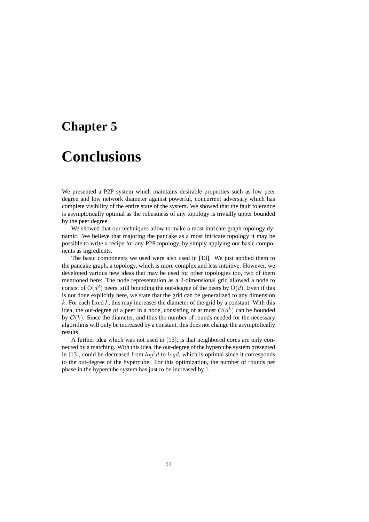## **Chapter 5**

## **Conclusions**

We presented a P2P system which maintains desirable properties such as low peer degree and low network diameter against powerful, concurrent adversary which has complete visibility of the entire state of the system. We showed that the fault tolerance is asymptotically optimal as the robustness of any topology is trivially upper bounded by the peer degree.

We showed that our techniques allow to make a most intricate graph topology dynamic. We believe that majoring the pancake as a most intricate topology it may be possible to write a recipe for any P2P topology, by simply applying our basic components as ingredients.

The basic components we used were also used in [13]. We just applied them to the pancake graph, a topology, which is more complex and less intuitive. However, we developed various new ideas that may be used for other topologies too, two of them mentioned here: The node representation as a 2-dimensional grid allowed a node to consist of  $O(d^2)$  peers, still bounding the out-degree of the peers by  $O(d)$ . Even if this is not done explicitly here, we state that the grid can be generalized to any dimension  $k$ . For each fixed k, this may increases the diameter of the grid by a constant. With this idea, the out-degree of a peer in a node, consisting of at most  $\mathcal{O}(d^k)$  can be bounded by  $\mathcal{O}(k)$ . Since the diameter, and thus the number of rounds needed for the necessary algorithms will only be increased by a constant, this does not change the asymptotically results.

A further idea which was not used in [13], is that neighbored cores are only connected by a matching. With this idea, the out-degree of the hypercube system presented in [13], could be decreased from  $log<sup>2</sup>d$  to  $logd$ , which is optimal since it corresponds to the out-degree of the hypercube. For this optimization, the number of rounds per phase in the hypercube system has just to be increased by 1.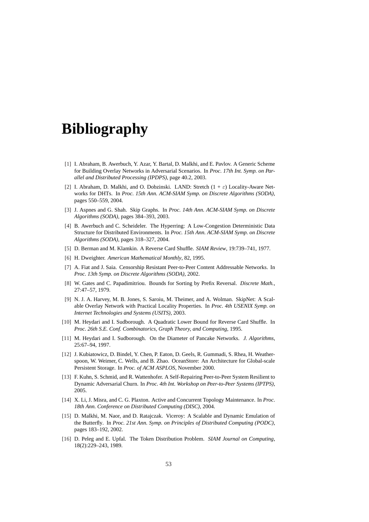## **Bibliography**

- [1] I. Abraham, B. Awerbuch, Y. Azar, Y. Bartal, D. Malkhi, and E. Pavlov. A Generic Scheme for Building Overlay Networks in Adversarial Scenarios. In *Proc. 17th Int. Symp. on Parallel and Distributed Processing (IPDPS)*, page 40.2, 2003.
- [2] I. Abraham, D. Malkhi, and O. Dobzinski. LAND: Stretch  $(1 + \varepsilon)$  Locality-Aware Networks for DHTs. In *Proc. 15th Ann. ACM-SIAM Symp. on Discrete Algorithms (SODA)*, pages 550–559, 2004.
- [3] J. Aspnes and G. Shah. Skip Graphs. In *Proc. 14th Ann. ACM-SIAM Symp. on Discrete Algorithms (SODA)*, pages 384–393, 2003.
- [4] B. Awerbuch and C. Scheideler. The Hyperring: A Low-Congestion Deterministic Data Structure for Distributed Environments. In *Proc. 15th Ann. ACM-SIAM Symp. on Discrete Algorithms (SODA)*, pages 318–327, 2004.
- [5] D. Berman and M. Klamkin. A Reverse Card Shuffle. *SIAM Review*, 19:739–741, 1977.
- [6] H. Dweighter. *American Mathematical Monthly*, 82, 1995.
- [7] A. Fiat and J. Saia. Censorship Resistant Peer-to-Peer Content Addressable Networks. In *Proc. 13th Symp. on Discrete Algorithms (SODA)*, 2002.
- [8] W. Gates and C. Papadimitriou. Bounds for Sorting by Prefix Reversal. *Discrete Math.*, 27:47–57, 1979.
- [9] N. J. A. Harvey, M. B. Jones, S. Saroiu, M. Theimer, and A. Wolman. SkipNet: A Scalable Overlay Network with Practical Locality Properties. In *Proc. 4th USENIX Symp. on Internet Technologies and Systems (USITS)*, 2003.
- [10] M. Heydari and I. Sudborough. A Quadratic Lower Bound for Reverse Card Shuffle. In *Proc. 26th S.E. Conf. Combinatorics, Graph Theory, and Computing*, 1995.
- [11] M. Heydari and I. Sudborough. On the Diameter of Pancake Networks. *J. Algorithms*, 25:67–94, 1997.
- [12] J. Kubiatowicz, D. Bindel, Y. Chen, P. Eaton, D. Geels, R. Gummadi, S. Rhea, H. Weatherspoon, W. Weimer, C. Wells, and B. Zhao. OceanStore: An Architecture for Global-scale Persistent Storage. In *Proc. of ACM ASPLOS*, November 2000.
- [13] F. Kuhn, S. Schmid, and R. Wattenhofer. A Self-Repairing Peer-to-Peer System Resilient to Dynamic Adversarial Churn. In *Proc. 4th Int. Workshop on Peer-to-Peer Systems (IPTPS)*, 2005.
- [14] X. Li, J. Misra, and C. G. Plaxton. Active and Concurrent Topology Maintenance. In *Proc. 18th Ann. Conference on Distributed Computing (DISC)*, 2004.
- [15] D. Malkhi, M. Naor, and D. Ratajczak. Viceroy: A Scalable and Dynamic Emulation of the Butterfly. In *Proc. 21st Ann. Symp. on Principles of Distributed Computing (PODC)*, pages 183–192, 2002.
- [16] D. Peleg and E. Upfal. The Token Distribution Problem. *SIAM Journal on Computing*, 18(2):229–243, 1989.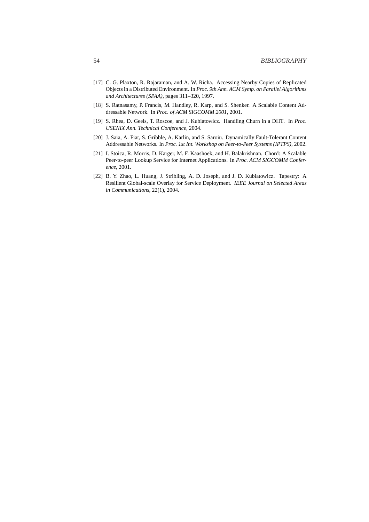- [17] C. G. Plaxton, R. Rajaraman, and A. W. Richa. Accessing Nearby Copies of Replicated Objects in a Distributed Environment. In *Proc. 9th Ann. ACM Symp. on Parallel Algorithms and Architectures (SPAA)*, pages 311–320, 1997.
- [18] S. Ratnasamy, P. Francis, M. Handley, R. Karp, and S. Shenker. A Scalable Content Addressable Network. In *Proc. of ACM SIGCOMM 2001*, 2001.
- [19] S. Rhea, D. Geels, T. Roscoe, and J. Kubiatowicz. Handling Churn in a DHT. In *Proc. USENIX Ann. Technical Conference*, 2004.
- [20] J. Saia, A. Fiat, S. Gribble, A. Karlin, and S. Saroiu. Dynamically Fault-Tolerant Content Addressable Networks. In *Proc. 1st Int. Workshop on Peer-to-Peer Systems (IPTPS)*, 2002.
- [21] I. Stoica, R. Morris, D. Karger, M. F. Kaashoek, and H. Balakrishnan. Chord: A Scalable Peer-to-peer Lookup Service for Internet Applications. In *Proc. ACM SIGCOMM Conference*, 2001.
- [22] B. Y. Zhao, L. Huang, J. Stribling, A. D. Joseph, and J. D. Kubiatowicz. Tapestry: A Resilient Global-scale Overlay for Service Deployment. *IEEE Journal on Selected Areas in Communications*, 22(1), 2004.